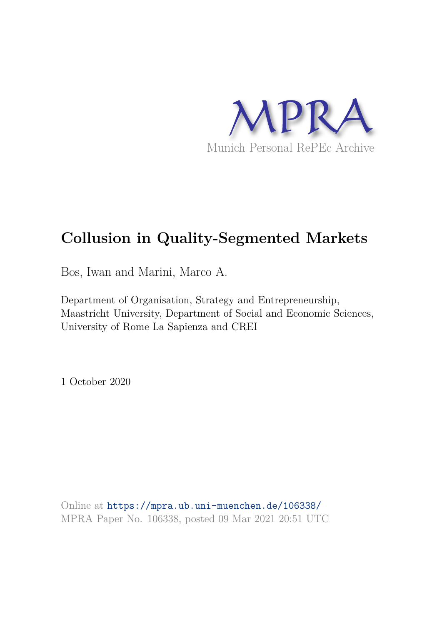

# **Collusion in Quality-Segmented Markets**

Bos, Iwan and Marini, Marco A.

Department of Organisation, Strategy and Entrepreneurship, Maastricht University, Department of Social and Economic Sciences, University of Rome La Sapienza and CREI

1 October 2020

Online at https://mpra.ub.uni-muenchen.de/106338/ MPRA Paper No. 106338, posted 09 Mar 2021 20:51 UTC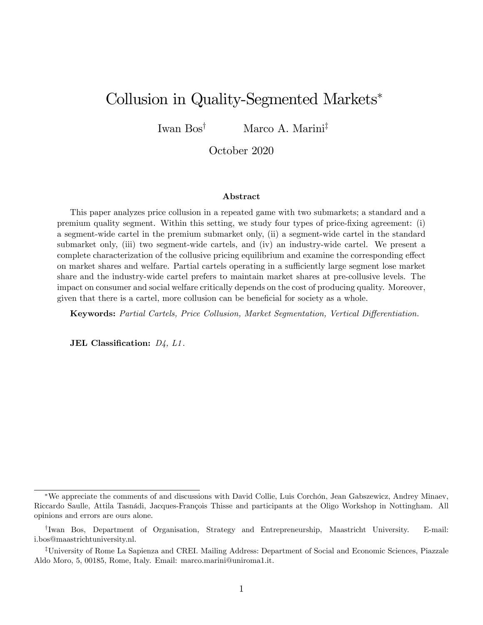## Collusion in Quality-Segmented Markets

Iwan  $Bos^{\dagger}$  Marco A. Marini<sup>‡</sup>

October 2020

#### Abstract

This paper analyzes price collusion in a repeated game with two submarkets; a standard and a premium quality segment. Within this setting, we study four types of price-Öxing agreement: (i) a segment-wide cartel in the premium submarket only, (ii) a segment-wide cartel in the standard submarket only, (iii) two segment-wide cartels, and (iv) an industry-wide cartel. We present a complete characterization of the collusive pricing equilibrium and examine the corresponding effect on market shares and welfare. Partial cartels operating in a sufficiently large segment lose market share and the industry-wide cartel prefers to maintain market shares at pre-collusive levels. The impact on consumer and social welfare critically depends on the cost of producing quality. Moreover, given that there is a cartel, more collusion can be beneficial for society as a whole.

Keywords: Partial Cartels, Price Collusion, Market Segmentation, Vertical Differentiation.

JEL Classification:  $D_4$ ,  $L1$ .

We appreciate the comments of and discussions with David Collie, Luis Corchón, Jean Gabszewicz, Andrey Minaev, Riccardo Saulle, Attila Tasnádi, Jacques-François Thisse and participants at the Oligo Workshop in Nottingham. All opinions and errors are ours alone.

<sup>&</sup>lt;sup>†</sup>Iwan Bos, Department of Organisation, Strategy and Entrepreneurship, Maastricht University. E-mail: i.bos@maastrichtuniversity.nl.

<sup>&</sup>lt;sup>‡</sup>University of Rome La Sapienza and CREI. Mailing Address: Department of Social and Economic Sciences, Piazzale Aldo Moro, 5, 00185, Rome, Italy. Email: marco.marini@uniroma1.it.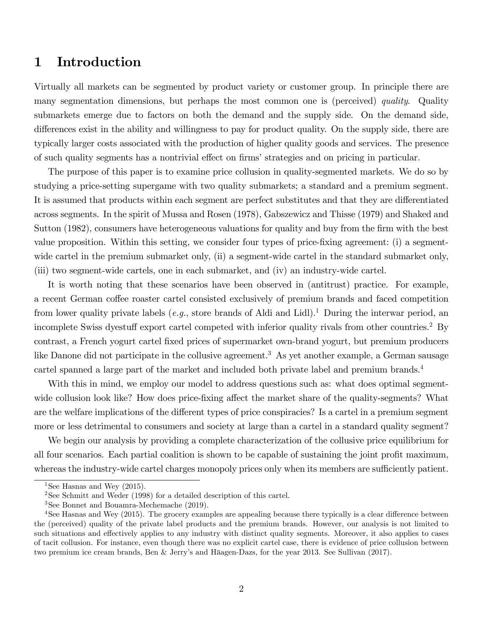## 1 Introduction

Virtually all markets can be segmented by product variety or customer group. In principle there are many segmentation dimensions, but perhaps the most common one is (perceived) *quality*. Quality submarkets emerge due to factors on both the demand and the supply side. On the demand side, differences exist in the ability and willingness to pay for product quality. On the supply side, there are typically larger costs associated with the production of higher quality goods and services. The presence of such quality segments has a nontrivial effect on firms' strategies and on pricing in particular.

The purpose of this paper is to examine price collusion in quality-segmented markets. We do so by studying a price-setting supergame with two quality submarkets; a standard and a premium segment. It is assumed that products within each segment are perfect substitutes and that they are differentiated across segments. In the spirit of Mussa and Rosen (1978), Gabszewicz and Thisse (1979) and Shaked and Sutton (1982), consumers have heterogeneous valuations for quality and buy from the firm with the best value proposition. Within this setting, we consider four types of price-fixing agreement: (i) a segmentwide cartel in the premium submarket only, (ii) a segment-wide cartel in the standard submarket only, (iii) two segment-wide cartels, one in each submarket, and (iv) an industry-wide cartel.

It is worth noting that these scenarios have been observed in (antitrust) practice. For example, a recent German coffee roaster cartel consisted exclusively of premium brands and faced competition from lower quality private labels (e.g., store brands of Aldi and Lidl).<sup>1</sup> During the interwar period, an incomplete Swiss dyestuff export cartel competed with inferior quality rivals from other countries.<sup>2</sup> By contrast, a French yogurt cartel Öxed prices of supermarket own-brand yogurt, but premium producers like Danone did not participate in the collusive agreement.<sup>3</sup> As yet another example, a German sausage cartel spanned a large part of the market and included both private label and premium brands.<sup>4</sup>

With this in mind, we employ our model to address questions such as: what does optimal segmentwide collusion look like? How does price-fixing affect the market share of the quality-segments? What are the welfare implications of the different types of price conspiracies? Is a cartel in a premium segment more or less detrimental to consumers and society at large than a cartel in a standard quality segment?

We begin our analysis by providing a complete characterization of the collusive price equilibrium for all four scenarios. Each partial coalition is shown to be capable of sustaining the joint profit maximum, whereas the industry-wide cartel charges monopoly prices only when its members are sufficiently patient.

<sup>&</sup>lt;sup>1</sup>See Hasnas and Wey  $(2015)$ .

<sup>2</sup>See Schmitt and Weder (1998) for a detailed description of this cartel.

<sup>3</sup>See Bonnet and Bouamra-Mechemache (2019).

 $4$ See Hasnas and Wey (2015). The grocery examples are appealing because there typically is a clear difference between the (perceived) quality of the private label products and the premium brands. However, our analysis is not limited to such situations and effectively applies to any industry with distinct quality segments. Moreover, it also applies to cases of tacit collusion. For instance, even though there was no explicit cartel case, there is evidence of price collusion between two premium ice cream brands, Ben & Jerry's and Häagen-Dazs, for the year 2013. See Sullivan (2017).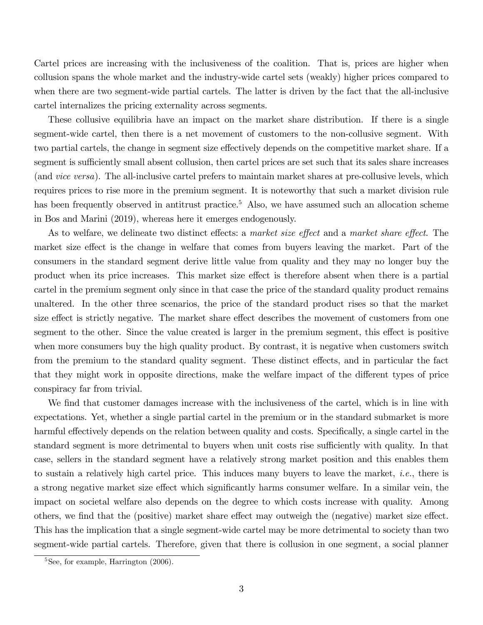Cartel prices are increasing with the inclusiveness of the coalition. That is, prices are higher when collusion spans the whole market and the industry-wide cartel sets (weakly) higher prices compared to when there are two segment-wide partial cartels. The latter is driven by the fact that the all-inclusive cartel internalizes the pricing externality across segments.

These collusive equilibria have an impact on the market share distribution. If there is a single segment-wide cartel, then there is a net movement of customers to the non-collusive segment. With two partial cartels, the change in segment size effectively depends on the competitive market share. If a segment is sufficiently small absent collusion, then cartel prices are set such that its sales share increases (and vice versa). The all-inclusive cartel prefers to maintain market shares at pre-collusive levels, which requires prices to rise more in the premium segment. It is noteworthy that such a market division rule has been frequently observed in antitrust practice.<sup>5</sup> Also, we have assumed such an allocation scheme in Bos and Marini (2019), whereas here it emerges endogenously.

As to welfare, we delineate two distinct effects: a market size effect and a market share effect. The market size effect is the change in welfare that comes from buyers leaving the market. Part of the consumers in the standard segment derive little value from quality and they may no longer buy the product when its price increases. This market size effect is therefore absent when there is a partial cartel in the premium segment only since in that case the price of the standard quality product remains unaltered. In the other three scenarios, the price of the standard product rises so that the market size effect is strictly negative. The market share effect describes the movement of customers from one segment to the other. Since the value created is larger in the premium segment, this effect is positive when more consumers buy the high quality product. By contrast, it is negative when customers switch from the premium to the standard quality segment. These distinct effects, and in particular the fact that they might work in opposite directions, make the welfare impact of the different types of price conspiracy far from trivial.

We find that customer damages increase with the inclusiveness of the cartel, which is in line with expectations. Yet, whether a single partial cartel in the premium or in the standard submarket is more harmful effectively depends on the relation between quality and costs. Specifically, a single cartel in the standard segment is more detrimental to buyers when unit costs rise sufficiently with quality. In that case, sellers in the standard segment have a relatively strong market position and this enables them to sustain a relatively high cartel price. This induces many buyers to leave the market, *i.e.*, there is a strong negative market size effect which significantly harms consumer welfare. In a similar vein, the impact on societal welfare also depends on the degree to which costs increase with quality. Among others, we find that the (positive) market share effect may outweigh the (negative) market size effect. This has the implication that a single segment-wide cartel may be more detrimental to society than two segment-wide partial cartels. Therefore, given that there is collusion in one segment, a social planner

 ${}^{5}$ See, for example, Harrington  $(2006)$ .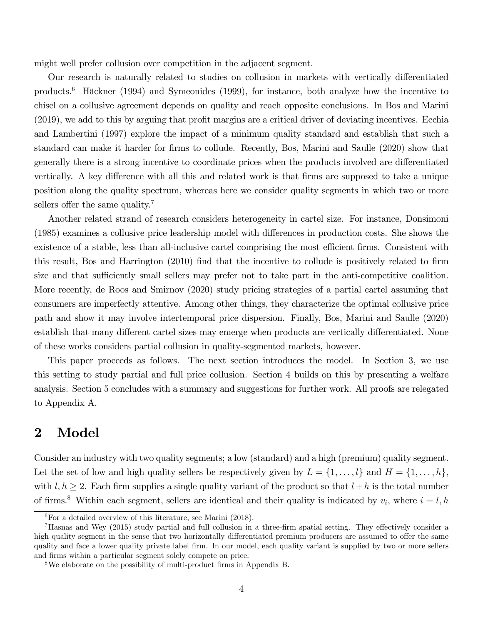might well prefer collusion over competition in the adjacent segment.

Our research is naturally related to studies on collusion in markets with vertically differentiated products.<sup>6</sup> Häckner (1994) and Symeonides (1999), for instance, both analyze how the incentive to chisel on a collusive agreement depends on quality and reach opposite conclusions. In Bos and Marini (2019), we add to this by arguing that profit margins are a critical driver of deviating incentives. Ecchia and Lambertini (1997) explore the impact of a minimum quality standard and establish that such a standard can make it harder for Örms to collude. Recently, Bos, Marini and Saulle (2020) show that generally there is a strong incentive to coordinate prices when the products involved are differentiated vertically. A key difference with all this and related work is that firms are supposed to take a unique position along the quality spectrum, whereas here we consider quality segments in which two or more sellers offer the same quality.<sup>7</sup>

Another related strand of research considers heterogeneity in cartel size. For instance, Donsimoni (1985) examines a collusive price leadership model with differences in production costs. She shows the existence of a stable, less than all-inclusive cartel comprising the most efficient firms. Consistent with this result, Bos and Harrington (2010) find that the incentive to collude is positively related to firm size and that sufficiently small sellers may prefer not to take part in the anti-competitive coalition. More recently, de Roos and Smirnov (2020) study pricing strategies of a partial cartel assuming that consumers are imperfectly attentive. Among other things, they characterize the optimal collusive price path and show it may involve intertemporal price dispersion. Finally, Bos, Marini and Saulle (2020) establish that many different cartel sizes may emerge when products are vertically differentiated. None of these works considers partial collusion in quality-segmented markets, however.

This paper proceeds as follows. The next section introduces the model. In Section 3, we use this setting to study partial and full price collusion. Section 4 builds on this by presenting a welfare analysis. Section 5 concludes with a summary and suggestions for further work. All proofs are relegated to Appendix A.

### 2 Model

Consider an industry with two quality segments; a low (standard) and a high (premium) quality segment. Let the set of low and high quality sellers be respectively given by  $L = \{1, \ldots, l\}$  and  $H = \{1, \ldots, h\}$ , with  $l, h \geq 2$ . Each firm supplies a single quality variant of the product so that  $l + h$  is the total number of firms.<sup>8</sup> Within each segment, sellers are identical and their quality is indicated by  $v_i$ , where  $i = l, h$ 

 ${}^{6}$ For a detailed overview of this literature, see Marini (2018).

 $^7$ Hasnas and Wey (2015) study partial and full collusion in a three-firm spatial setting. They effectively consider a high quality segment in the sense that two horizontally differentiated premium producers are assumed to offer the same quality and face a lower quality private label firm. In our model, each quality variant is supplied by two or more sellers and firms within a particular segment solely compete on price.

<sup>&</sup>lt;sup>8</sup>We elaborate on the possibility of multi-product firms in Appendix B.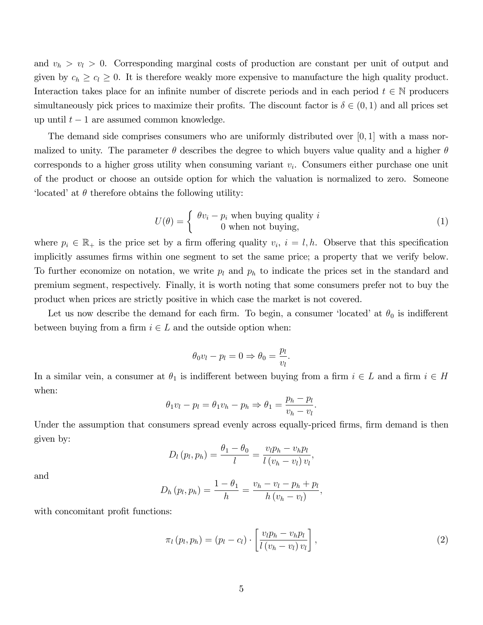and  $v_h > v_l > 0$ . Corresponding marginal costs of production are constant per unit of output and given by  $c_h \geq c_l \geq 0$ . It is therefore weakly more expensive to manufacture the high quality product. Interaction takes place for an infinite number of discrete periods and in each period  $t \in \mathbb{N}$  producers simultaneously pick prices to maximize their profits. The discount factor is  $\delta \in (0,1)$  and all prices set up until  $t - 1$  are assumed common knowledge.

The demand side comprises consumers who are uniformly distributed over  $[0,1]$  with a mass normalized to unity. The parameter  $\theta$  describes the degree to which buyers value quality and a higher  $\theta$ corresponds to a higher gross utility when consuming variant  $v_i$ . Consumers either purchase one unit of the product or choose an outside option for which the valuation is normalized to zero. Someone 'located' at  $\theta$  therefore obtains the following utility:

$$
U(\theta) = \begin{cases} \theta v_i - p_i \text{ when buying quality } i \\ 0 \text{ when not buying,} \end{cases}
$$
 (1)

:

where  $p_i \in \mathbb{R}_+$  is the price set by a firm offering quality  $v_i$ ,  $i = l, h$ . Observe that this specification implicitly assumes firms within one segment to set the same price; a property that we verify below. To further economize on notation, we write  $p_l$  and  $p_h$  to indicate the prices set in the standard and premium segment, respectively. Finally, it is worth noting that some consumers prefer not to buy the product when prices are strictly positive in which case the market is not covered.

Let us now describe the demand for each firm. To begin, a consumer 'located' at  $\theta_0$  is indifferent between buying from a firm  $i \in L$  and the outside option when:

$$
\theta_0 v_l - p_l = 0 \Rightarrow \theta_0 = \frac{p_l}{v_l}
$$

In a similar vein, a consumer at  $\theta_1$  is indifferent between buying from a firm  $i \in L$  and a firm  $i \in H$ when:

$$
\theta_1 v_l - p_l = \theta_1 v_h - p_h \Rightarrow \theta_1 = \frac{p_h - p_l}{v_h - v_l}.
$$

Under the assumption that consumers spread evenly across equally-priced firms, firm demand is then given by:

$$
D_l(p_l, p_h) = \frac{\theta_1 - \theta_0}{l} = \frac{v_l p_h - v_h p_l}{l(v_h - v_l)v_l},
$$

and

$$
D_h(p_l, p_h) = \frac{1 - \theta_1}{h} = \frac{v_h - v_l - p_h + p_l}{h(v_h - v_l)},
$$

with concomitant profit functions:

$$
\pi_l(p_l, p_h) = (p_l - c_l) \cdot \left[ \frac{v_l p_h - v_h p_l}{l \left( v_h - v_l \right) v_l} \right],\tag{2}
$$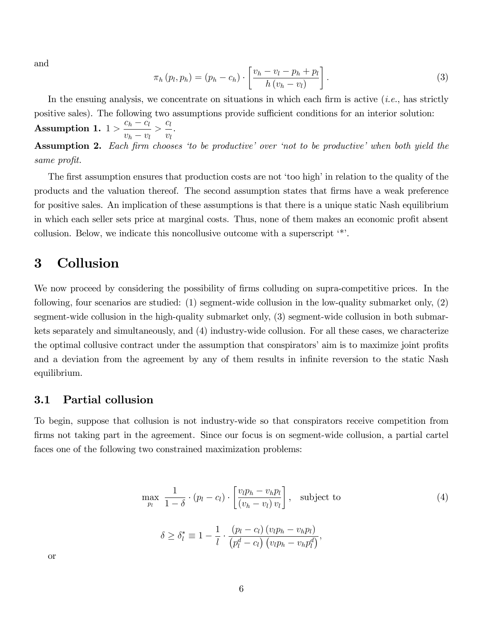and

$$
\pi_h(p_l, p_h) = (p_h - c_h) \cdot \left[ \frac{v_h - v_l - p_h + p_l}{h(v_h - v_l)} \right]. \tag{3}
$$

In the ensuing analysis, we concentrate on situations in which each firm is active  $(i.e.,$  has strictly positive sales). The following two assumptions provide sufficient conditions for an interior solution: Assumption 1.  $1 > \frac{c_h - c_l}{c_h}$  $v_h - v_l$  $\frac{c_l}{c_l}$  $v_l$ .

**Assumption 2.** Each firm chooses 'to be productive' over 'not to be productive' when both yield the same profit.

The first assumption ensures that production costs are not 'too high' in relation to the quality of the products and the valuation thereof. The second assumption states that Örms have a weak preference for positive sales. An implication of these assumptions is that there is a unique static Nash equilibrium in which each seller sets price at marginal costs. Thus, none of them makes an economic profit absent collusion. Below, we indicate this noncollusive outcome with a superscript  $\cdot^*$ .

## 3 Collusion

We now proceed by considering the possibility of firms colluding on supra-competitive prices. In the following, four scenarios are studied: (1) segment-wide collusion in the low-quality submarket only, (2) segment-wide collusion in the high-quality submarket only, (3) segment-wide collusion in both submarkets separately and simultaneously, and (4) industry-wide collusion. For all these cases, we characterize the optimal collusive contract under the assumption that conspirators' aim is to maximize joint profits and a deviation from the agreement by any of them results in infinite reversion to the static Nash equilibrium.

#### 3.1 Partial collusion

To begin, suppose that collusion is not industry-wide so that conspirators receive competition from firms not taking part in the agreement. Since our focus is on segment-wide collusion, a partial cartel faces one of the following two constrained maximization problems:

$$
\max_{p_l} \frac{1}{1-\delta} \cdot (p_l - c_l) \cdot \left[ \frac{v_l p_h - v_h p_l}{(v_h - v_l) v_l} \right], \text{ subject to}
$$
\n
$$
\delta \ge \delta_l^* \equiv 1 - \frac{1}{l} \cdot \frac{(p_l - c_l) (v_l p_h - v_h p_l)}{(p_l^d - c_l) (v_l p_h - v_h p_l^d)},
$$
\n(4)

or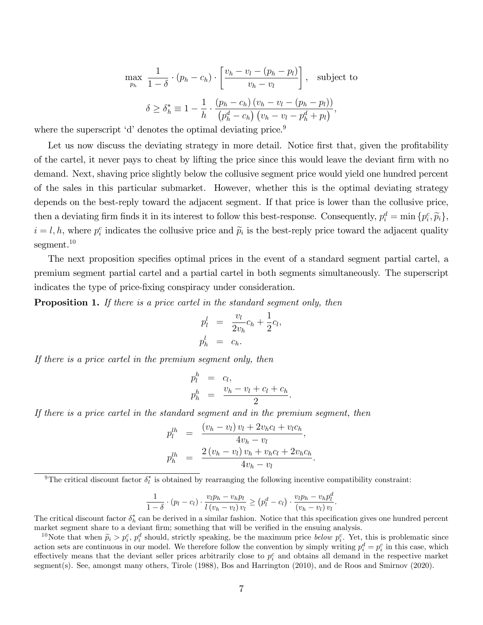$$
\max_{p_h} \frac{1}{1-\delta} \cdot (p_h - c_h) \cdot \left[ \frac{v_h - v_l - (p_h - p_l)}{v_h - v_l} \right], \text{ subject to}
$$

$$
\delta \ge \delta_h^* \equiv 1 - \frac{1}{h} \cdot \frac{(p_h - c_h)(v_h - v_l - (p_h - p_l))}{(p_h^d - c_h)(v_h - v_l - p_h^d + p_l)},
$$

where the superscript  $d'$  denotes the optimal deviating price.<sup>9</sup>

Let us now discuss the deviating strategy in more detail. Notice first that, given the profitability of the cartel, it never pays to cheat by lifting the price since this would leave the deviant firm with no demand. Next, shaving price slightly below the collusive segment price would yield one hundred percent of the sales in this particular submarket. However, whether this is the optimal deviating strategy depends on the best-reply toward the adjacent segment. If that price is lower than the collusive price, then a deviating firm finds it in its interest to follow this best-response. Consequently,  $p_i^d = \min \{p_i^c, \tilde{p}_i\},\$  $i = l, h$ , where  $p_i^c$  indicates the collusive price and  $\tilde{p}_i$  is the best-reply price toward the adjacent quality segment.<sup>10</sup>

The next proposition specifies optimal prices in the event of a standard segment partial cartel, a premium segment partial cartel and a partial cartel in both segments simultaneously. The superscript indicates the type of price-Öxing conspiracy under consideration.

**Proposition 1.** If there is a price cartel in the standard segment only, then

$$
p_l^l = \frac{v_l}{2v_h}c_h + \frac{1}{2}c_l,
$$
  

$$
p_h^l = c_h.
$$

If there is a price cartel in the premium segment only, then

$$
p_l^h = c_l,
$$
  

$$
p_h^h = \frac{v_h - v_l + c_l + c_h}{2}
$$

:

If there is a price cartel in the standard segment and in the premium segment, then

$$
p_l^{lh} = \frac{(v_h - v_l) v_l + 2v_h c_l + v_l c_h}{4v_h - v_l},
$$
  
\n
$$
p_h^{lh} = \frac{2(v_h - v_l) v_h + v_h c_l + 2v_h c_h}{4v_h - v_l}.
$$

<sup>9</sup>The critical discount factor  $\delta_l^*$  is obtained by rearranging the following incentive compatibility constraint:

$$
\frac{1}{1-\delta} \cdot (p_l - c_l) \cdot \frac{v_l p_h - v_h p_l}{l(v_h - v_l)v_l} \ge (p_l^d - c_l) \cdot \frac{v_l p_h - v_h p_l^d}{(v_h - v_l)v_l}.
$$

The critical discount factor  $\delta_h^*$  can be derived in a similar fashion. Notice that this specification gives one hundred percent market segment share to a deviant firm; something that will be verified in the ensuing analysis.

<sup>10</sup>Note that when  $\widetilde{p}_i > p_i^c$ ,  $p_i^d$  should, strictly speaking, be the maximum price *below*  $p_i^c$ . Yet, this is problematic since action sets are continuous in our model. We therefore follow the convention by simply writing  $p_i^d = p_i^c$  in this case, which effectively means that the deviant seller prices arbitrarily close to  $p_i^c$  and obtains all demand in the respective market segment(s). See, amongst many others, Tirole (1988), Bos and Harrington (2010), and de Roos and Smirnov (2020).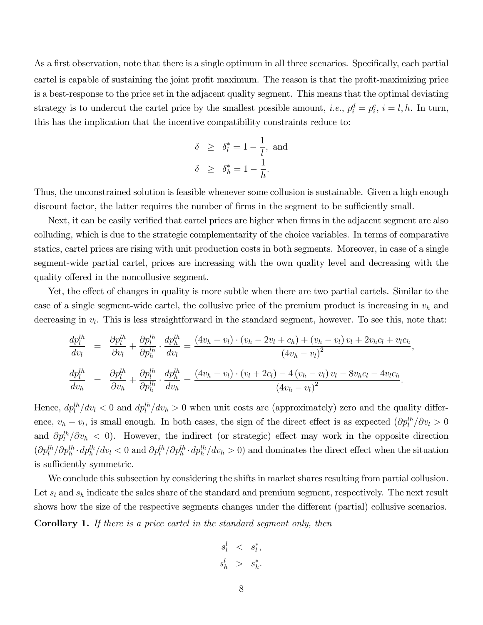As a first observation, note that there is a single optimum in all three scenarios. Specifically, each partial cartel is capable of sustaining the joint profit maximum. The reason is that the profit-maximizing price is a best-response to the price set in the adjacent quality segment. This means that the optimal deviating strategy is to undercut the cartel price by the smallest possible amount, *i.e.*,  $p_i^d = p_i^c$ ,  $i = l, h$ . In turn, this has the implication that the incentive compatibility constraints reduce to:

$$
\delta \geq \delta_l^* = 1 - \frac{1}{l}, \text{ and}
$$
  

$$
\delta \geq \delta_h^* = 1 - \frac{1}{h}.
$$

Thus, the unconstrained solution is feasible whenever some collusion is sustainable. Given a high enough discount factor, the latter requires the number of firms in the segment to be sufficiently small.

Next, it can be easily verified that cartel prices are higher when firms in the adjacent segment are also colluding, which is due to the strategic complementarity of the choice variables. In terms of comparative statics, cartel prices are rising with unit production costs in both segments. Moreover, in case of a single segment-wide partial cartel, prices are increasing with the own quality level and decreasing with the quality offered in the noncollusive segment.

Yet, the effect of changes in quality is more subtle when there are two partial cartels. Similar to the case of a single segment-wide cartel, the collusive price of the premium product is increasing in  $v_h$  and decreasing in  $v_l$ . This is less straightforward in the standard segment, however. To see this, note that:

$$
\frac{dp_l^{lh}}{dv_l} = \frac{\partial p_l^{lh}}{\partial v_l} + \frac{\partial p_l^{lh}}{\partial p_h^{lh}} \cdot \frac{dp_h^{lh}}{dv_l} = \frac{(4v_h - v_l) \cdot (v_h - 2v_l + c_h) + (v_h - v_l) v_l + 2v_h c_l + v_l c_h}{(4v_h - v_l)^2},
$$
\n
$$
\frac{dp_l^{lh}}{dv_h} = \frac{\partial p_l^{lh}}{\partial v_h} + \frac{\partial p_l^{lh}}{\partial p_h^{lh}} \cdot \frac{dp_h^{lh}}{dv_h} = \frac{(4v_h - v_l) \cdot (v_l + 2c_l) - 4(v_h - v_l) v_l - 8v_h c_l - 4v_l c_h}{(4v_h - v_l)^2}.
$$

Hence,  $dp_l^{th}/dv_l < 0$  and  $dp_l^{th}/dv_h > 0$  when unit costs are (approximately) zero and the quality difference,  $v_h - v_l$ , is small enough. In both cases, the sign of the direct effect is as expected  $(\partial p_l^{lh}/\partial v_l > 0$ and  $\partial p_l^{th}/\partial v_h < 0$ . However, the indirect (or strategic) effect may work in the opposite direction  $(\partial p_l^{lh}/\partial p_h^{lh} \cdot dp_h^{lh}/dv_l < 0$  and  $\partial p_l^{lh}/\partial p_h^{lh} \cdot dp_h^{lh}/dv_h > 0)$  and dominates the direct effect when the situation is sufficiently symmetric.

We conclude this subsection by considering the shifts in market shares resulting from partial collusion. Let  $s_l$  and  $s_h$  indicate the sales share of the standard and premium segment, respectively. The next result shows how the size of the respective segments changes under the different (partial) collusive scenarios. Corollary 1. If there is a price cartel in the standard segment only, then

$$
\begin{array}{rcl} s_l^l & < & s_l^*, \\ s_h^l & > & s_h^*. \end{array}
$$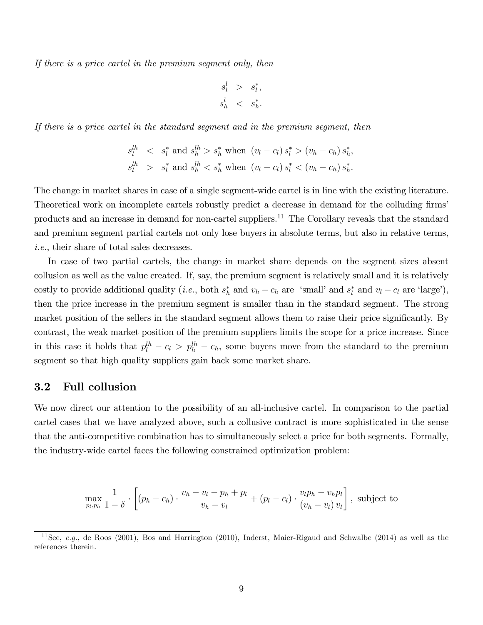If there is a price cartel in the premium segment only, then

$$
\begin{array}{rcl} s_l^l &> & s_l^*,\\ s_h^l &< & s_h^*.\end{array}
$$

If there is a price cartel in the standard segment and in the premium segment, then

$$
s_l^{lh} < s_l^* \text{ and } s_h^{lh} > s_h^* \text{ when } (v_l - c_l) s_l^* > (v_h - c_h) s_h^*,
$$
\n
$$
s_l^{lh} > s_l^* \text{ and } s_h^{lh} < s_h^* \text{ when } (v_l - c_l) s_l^* < (v_h - c_h) s_h^*.
$$

The change in market shares in case of a single segment-wide cartel is in line with the existing literature. Theoretical work on incomplete cartels robustly predict a decrease in demand for the colluding firms' products and an increase in demand for non-cartel suppliers.<sup>11</sup> The Corollary reveals that the standard and premium segment partial cartels not only lose buyers in absolute terms, but also in relative terms, i.e., their share of total sales decreases.

In case of two partial cartels, the change in market share depends on the segment sizes absent collusion as well as the value created. If, say, the premium segment is relatively small and it is relatively costly to provide additional quality (*i.e.*, both  $s_h^*$  $\frac{k}{h}$  and  $v_h - c_h$  are 'small' and  $s_l^*$  $\ell_l^*$  and  $v_l - c_l$  are 'large'), then the price increase in the premium segment is smaller than in the standard segment. The strong market position of the sellers in the standard segment allows them to raise their price significantly. By contrast, the weak market position of the premium suppliers limits the scope for a price increase. Since in this case it holds that  $p_l^{lh} - c_l > p_h^{lh} - c_h$ , some buyers move from the standard to the premium segment so that high quality suppliers gain back some market share.

#### 3.2 Full collusion

We now direct our attention to the possibility of an all-inclusive cartel. In comparison to the partial cartel cases that we have analyzed above, such a collusive contract is more sophisticated in the sense that the anti-competitive combination has to simultaneously select a price for both segments. Formally, the industry-wide cartel faces the following constrained optimization problem:

$$
\max_{p_l, p_h} \frac{1}{1-\delta} \cdot \left[ (p_h - c_h) \cdot \frac{v_h - v_l - p_h + p_l}{v_h - v_l} + (p_l - c_l) \cdot \frac{v_l p_h - v_h p_l}{(v_h - v_l) v_l} \right], \text{ subject to}
$$

<sup>&</sup>lt;sup>11</sup>See, *e.g.*, de Roos (2001), Bos and Harrington (2010), Inderst, Maier-Rigaud and Schwalbe (2014) as well as the references therein.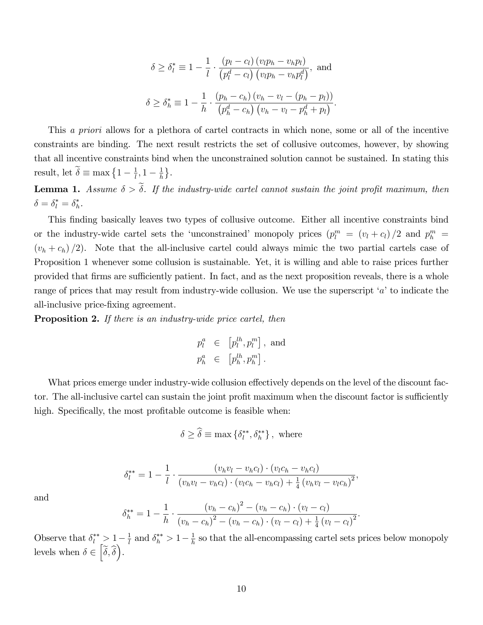$$
\delta \ge \delta_l^* \equiv 1 - \frac{1}{l} \cdot \frac{\left(p_l - c_l\right) \left(v_l p_h - v_h p_l\right)}{\left(p_l^d - c_l\right) \left(v_l p_h - v_h p_l^d\right)}, \text{ and}
$$

$$
\delta \ge \delta_h^* \equiv 1 - \frac{1}{h} \cdot \frac{\left(p_h - c_h\right) \left(v_h - v_l - \left(p_h - p_l\right)\right)}{\left(p_h^d - c_h\right) \left(v_h - v_l - p_h^d + p_l\right)}.
$$

This a priori allows for a plethora of cartel contracts in which none, some or all of the incentive constraints are binding. The next result restricts the set of collusive outcomes, however, by showing that all incentive constraints bind when the unconstrained solution cannot be sustained. In stating this result, let  $\tilde{\delta} \equiv \max\left\{1 - \frac{1}{l}\right\}$  $\frac{1}{l}, 1-\frac{1}{h}$  $\frac{1}{h}$ .

**Lemma 1.** Assume  $\delta > \tilde{\delta}$ . If the industry-wide cartel cannot sustain the joint profit maximum, then  $\delta = \delta_l^* = \delta_h^*$  $\frac{*}{h}$ .

This Önding basically leaves two types of collusive outcome. Either all incentive constraints bind or the industry-wide cartel sets the 'unconstrained' monopoly prices  $(p_l^m = (v_l + c_l)/2$  and  $p_h^m =$  $(v_h + c_h)/2$ ). Note that the all-inclusive cartel could always mimic the two partial cartels case of Proposition 1 whenever some collusion is sustainable. Yet, it is willing and able to raise prices further provided that firms are sufficiently patient. In fact, and as the next proposition reveals, there is a whole range of prices that may result from industry-wide collusion. We use the superscript  $'a'$  to indicate the all-inclusive price-fixing agreement.

**Proposition 2.** If there is an industry-wide price cartel, then

$$
\begin{array}{rcl} p_l^a &\in& \left[p_l^{lh},p_l^m\right],\ \mathrm{and}\\[3mm] p_h^a &\in& \left[p_h^{lh},p_h^m\right]. \end{array}
$$

What prices emerge under industry-wide collusion effectively depends on the level of the discount factor. The all-inclusive cartel can sustain the joint profit maximum when the discount factor is sufficiently high. Specifically, the most profitable outcome is feasible when:

$$
\delta \ge \hat{\delta} \equiv \max \left\{ \delta^{**}_{l}, \delta^{**}_{h} \right\}, \text{ where}
$$

$$
\delta_l^{**} = 1 - \frac{1}{l} \cdot \frac{(v_h v_l - v_h c_l) \cdot (v_l c_h - v_h c_l)}{(v_h v_l - v_h c_l) \cdot (v_l c_h - v_h c_l) + \frac{1}{4} (v_h v_l - v_l c_h)^2},
$$

and

$$
\delta_h^{**} = 1 - \frac{1}{h} \cdot \frac{(v_h - c_h)^2 - (v_h - c_h) \cdot (v_l - c_l)}{(v_h - c_h)^2 - (v_h - c_h) \cdot (v_l - c_l) + \frac{1}{4}(v_l - c_l)^2}.
$$

Observe that  $\delta_l^{**} > 1 - \frac{1}{l}$  $\frac{1}{l}$  and  $\delta_h^{**} > 1 - \frac{1}{h}$  $\frac{1}{h}$  so that the all-encompassing cartel sets prices below monopoly levels when  $\delta \in \left[\widetilde{\delta}, \widehat{\delta}\right)$ .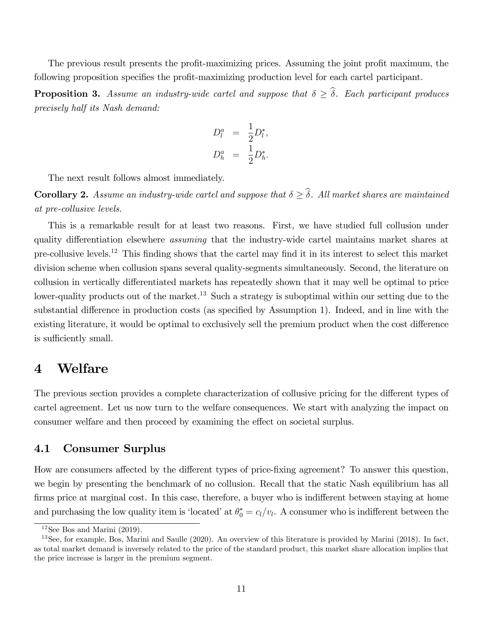The previous result presents the profit-maximizing prices. Assuming the joint profit maximum, the following proposition specifies the profit-maximizing production level for each cartel participant.

**Proposition 3.** Assume an industry-wide cartel and suppose that  $\delta \geq \hat{\delta}$ . Each participant produces precisely half its Nash demand:

$$
D_l^a = \frac{1}{2} D_l^*,
$$
  

$$
D_h^a = \frac{1}{2} D_h^*.
$$

The next result follows almost immediately.

**Corollary 2.** Assume an industry-wide cartel and suppose that  $\delta \geq \hat{\delta}$ . All market shares are maintained at pre-collusive levels.

This is a remarkable result for at least two reasons. First, we have studied full collusion under quality differentiation elsewhere *assuming* that the industry-wide cartel maintains market shares at pre-collusive levels.<sup>12</sup> This Önding shows that the cartel may Önd it in its interest to select this market division scheme when collusion spans several quality-segments simultaneously. Second, the literature on collusion in vertically differentiated markets has repeatedly shown that it may well be optimal to price lower-quality products out of the market.<sup>13</sup> Such a strategy is suboptimal within our setting due to the substantial difference in production costs (as specified by Assumption 1). Indeed, and in line with the existing literature, it would be optimal to exclusively sell the premium product when the cost difference is sufficiently small.

## 4 Welfare

The previous section provides a complete characterization of collusive pricing for the different types of cartel agreement. Let us now turn to the welfare consequences. We start with analyzing the impact on consumer welfare and then proceed by examining the effect on societal surplus.

#### 4.1 Consumer Surplus

How are consumers affected by the different types of price-fixing agreement? To answer this question, we begin by presenting the benchmark of no collusion. Recall that the static Nash equilibrium has all firms price at marginal cost. In this case, therefore, a buyer who is indifferent between staying at home and purchasing the low quality item is 'located' at  $\theta_0^* = c_l/v_l$ . A consumer who is indifferent between the

 $12$ See Bos and Marini (2019).

 $^{13}$ See, for example, Bos, Marini and Saulle (2020). An overview of this literature is provided by Marini (2018). In fact, as total market demand is inversely related to the price of the standard product, this market share allocation implies that the price increase is larger in the premium segment.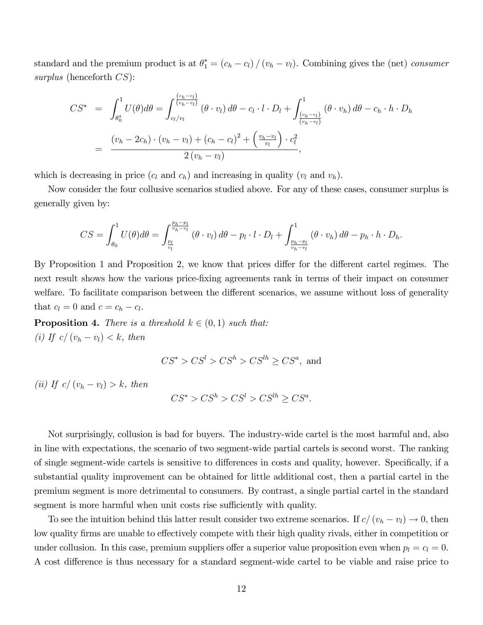standard and the premium product is at  $\theta_1^* = (c_h - c_l) / (v_h - v_l)$ . Combining gives the (net) consumer surplus (henceforth  $CS$ ):

$$
CS^* = \int_{\theta_0^*}^{1} U(\theta) d\theta = \int_{c_l/v_l}^{\frac{(c_h - c_l)}{(v_h - v_l)}} (\theta \cdot v_l) d\theta - c_l \cdot l \cdot D_l + \int_{\frac{(c_h - c_l)}{(v_h - v_l)}}^{1} (\theta \cdot v_h) d\theta - c_h \cdot h \cdot D_h
$$
  
= 
$$
\frac{(v_h - 2c_h) \cdot (v_h - v_l) + (c_h - c_l)^2 + \left(\frac{v_h - v_l}{v_l}\right) \cdot c_l^2}{2(v_h - v_l)},
$$

which is decreasing in price  $(c_l \text{ and } c_h)$  and increasing in quality  $(v_l \text{ and } v_h)$ .

Now consider the four collusive scenarios studied above. For any of these cases, consumer surplus is generally given by:

$$
CS = \int_{\theta_0}^1 U(\theta) d\theta = \int_{\frac{p_l}{v_l}}^{\frac{p_h - p_l}{v_h - v_l}} (\theta \cdot v_l) d\theta - p_l \cdot l \cdot D_l + \int_{\frac{p_h - p_l}{v_h - v_l}}^1 (\theta \cdot v_h) d\theta - p_h \cdot h \cdot D_h.
$$

By Proposition 1 and Proposition 2, we know that prices differ for the different cartel regimes. The next result shows how the various price-Öxing agreements rank in terms of their impact on consumer welfare. To facilitate comparison between the different scenarios, we assume without loss of generality that  $c_l = 0$  and  $c = c_h - c_l$ .

**Proposition 4.** There is a threshold  $k \in (0, 1)$  such that: (i) If  $c/(v_h - v_l) < k$ , then

$$
CS^* > CS^l > CS^h > CS^{lh} \ge CS^a
$$
, and

(ii) If  $c/(v_h - v_l) > k$ , then

$$
CS^* > CS^h > CS^l > CS^{lh} \ge CS^a.
$$

Not surprisingly, collusion is bad for buyers. The industry-wide cartel is the most harmful and, also in line with expectations, the scenario of two segment-wide partial cartels is second worst. The ranking of single segment-wide cartels is sensitive to differences in costs and quality, however. Specifically, if a substantial quality improvement can be obtained for little additional cost, then a partial cartel in the premium segment is more detrimental to consumers. By contrast, a single partial cartel in the standard segment is more harmful when unit costs rise sufficiently with quality.

To see the intuition behind this latter result consider two extreme scenarios. If  $c/(v_h - v_l) \rightarrow 0$ , then low quality firms are unable to effectively compete with their high quality rivals, either in competition or under collusion. In this case, premium suppliers offer a superior value proposition even when  $p_l = c_l = 0$ . A cost difference is thus necessary for a standard segment-wide cartel to be viable and raise price to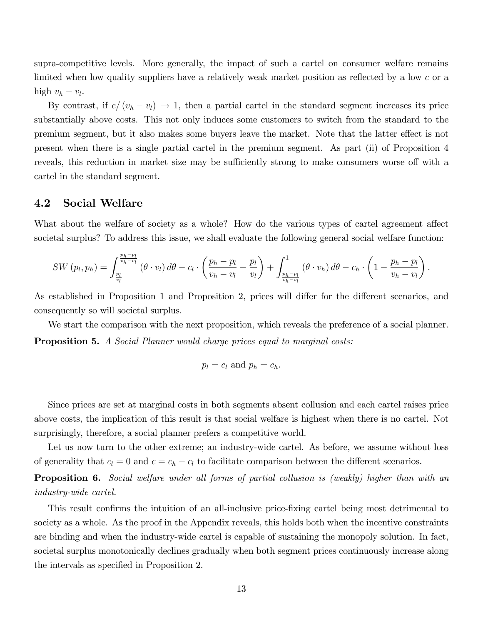supra-competitive levels. More generally, the impact of such a cartel on consumer welfare remains limited when low quality suppliers have a relatively weak market position as reflected by a low  $c$  or a high  $v_h - v_l$ .

By contrast, if  $c/(v_h - v_l) \rightarrow 1$ , then a partial cartel in the standard segment increases its price substantially above costs. This not only induces some customers to switch from the standard to the premium segment, but it also makes some buyers leave the market. Note that the latter effect is not present when there is a single partial cartel in the premium segment. As part (ii) of Proposition 4 reveals, this reduction in market size may be sufficiently strong to make consumers worse off with a cartel in the standard segment.

#### 4.2 Social Welfare

What about the welfare of society as a whole? How do the various types of cartel agreement affect societal surplus? To address this issue, we shall evaluate the following general social welfare function:

$$
SW(p_l, p_h) = \int_{\frac{p_l}{v_h} - v_l}^{\frac{p_h - p_l}{v_h - v_l}} (\theta \cdot v_l) d\theta - c_l \cdot \left(\frac{p_h - p_l}{v_h - v_l} - \frac{p_l}{v_l}\right) + \int_{\frac{p_h - p_l}{v_h - v_l}}^1 (\theta \cdot v_h) d\theta - c_h \cdot \left(1 - \frac{p_h - p_l}{v_h - v_l}\right).
$$

As established in Proposition 1 and Proposition 2, prices will differ for the different scenarios, and consequently so will societal surplus.

We start the comparison with the next proposition, which reveals the preference of a social planner. **Proposition 5.** A Social Planner would charge prices equal to marginal costs:

$$
p_l = c_l \text{ and } p_h = c_h.
$$

Since prices are set at marginal costs in both segments absent collusion and each cartel raises price above costs, the implication of this result is that social welfare is highest when there is no cartel. Not surprisingly, therefore, a social planner prefers a competitive world.

Let us now turn to the other extreme; an industry-wide cartel. As before, we assume without loss of generality that  $c_l = 0$  and  $c = c_h - c_l$  to facilitate comparison between the different scenarios.

Proposition 6. Social welfare under all forms of partial collusion is (weakly) higher than with an industry-wide cartel.

This result confirms the intuition of an all-inclusive price-fixing cartel being most detrimental to society as a whole. As the proof in the Appendix reveals, this holds both when the incentive constraints are binding and when the industry-wide cartel is capable of sustaining the monopoly solution. In fact, societal surplus monotonically declines gradually when both segment prices continuously increase along the intervals as specified in Proposition 2.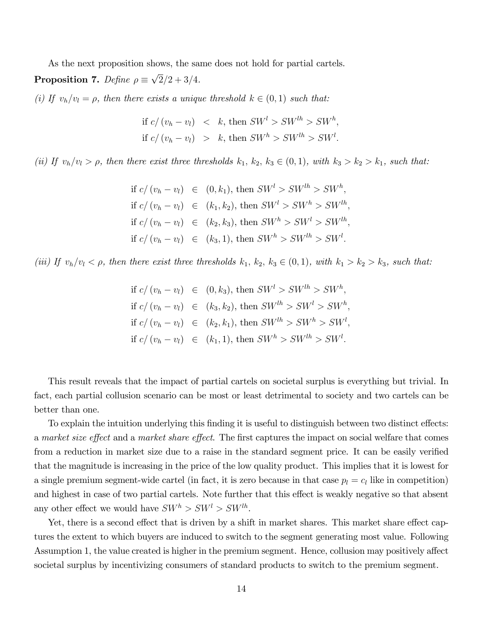As the next proposition shows, the same does not hold for partial cartels.

**Proposition 7.** Define  $\rho \equiv \sqrt{2}/2 + 3/4$ .

(i) If  $v_h/v_l = \rho$ , then there exists a unique threshold  $k \in (0, 1)$  such that:

if 
$$
c/(v_h - v_l) < k
$$
, then  $SW^l > SW^{lh} > SW^h$ ,  
if  $c/(v_h - v_l) > k$ , then  $SW^h > SW^{lh} > SW^l$ .

(ii) If  $v_h/v_l > \rho$ , then there exist three thresholds  $k_1, k_2, k_3 \in (0, 1)$ , with  $k_3 > k_2 > k_1$ , such that:

if 
$$
c/(v_h - v_l) \in (0, k_1)
$$
, then  $SW^l > SW^{lh} > SW^h$ ,  
if  $c/(v_h - v_l) \in (k_1, k_2)$ , then  $SW^l > SW^h > SW^{lh}$ ,  
if  $c/(v_h - v_l) \in (k_2, k_3)$ , then  $SW^h > SW^l > SW^{lh}$ ,  
if  $c/(v_h - v_l) \in (k_3, 1)$ , then  $SW^h > SW^{lh} > SW^l$ .

(iii) If  $v_h/v_l < \rho$ , then there exist three thresholds  $k_1, k_2, k_3 \in (0,1)$ , with  $k_1 > k_2 > k_3$ , such that:

if 
$$
c/(v_h - v_l) \in (0, k_3)
$$
, then  $SW^l > SW^{lh} > SW^h$ ,  
if  $c/(v_h - v_l) \in (k_3, k_2)$ , then  $SW^{lh} > SW^l > SW^h$ ,  
if  $c/(v_h - v_l) \in (k_2, k_1)$ , then  $SW^{lh} > SW^h > SW^l$ ,  
if  $c/(v_h - v_l) \in (k_1, 1)$ , then  $SW^h > SW^{lh} > SW^l$ .

This result reveals that the impact of partial cartels on societal surplus is everything but trivial. In fact, each partial collusion scenario can be most or least detrimental to society and two cartels can be better than one.

To explain the intuition underlying this finding it is useful to distinguish between two distinct effects: a market size effect and a market share effect. The first captures the impact on social welfare that comes from a reduction in market size due to a raise in the standard segment price. It can be easily verified that the magnitude is increasing in the price of the low quality product. This implies that it is lowest for a single premium segment-wide cartel (in fact, it is zero because in that case  $p_l = c_l$  like in competition) and highest in case of two partial cartels. Note further that this effect is weakly negative so that absent any other effect we would have  $SW^h > SW^l > SW^{lh}$ .

Yet, there is a second effect that is driven by a shift in market shares. This market share effect captures the extent to which buyers are induced to switch to the segment generating most value. Following Assumption 1, the value created is higher in the premium segment. Hence, collusion may positively affect societal surplus by incentivizing consumers of standard products to switch to the premium segment.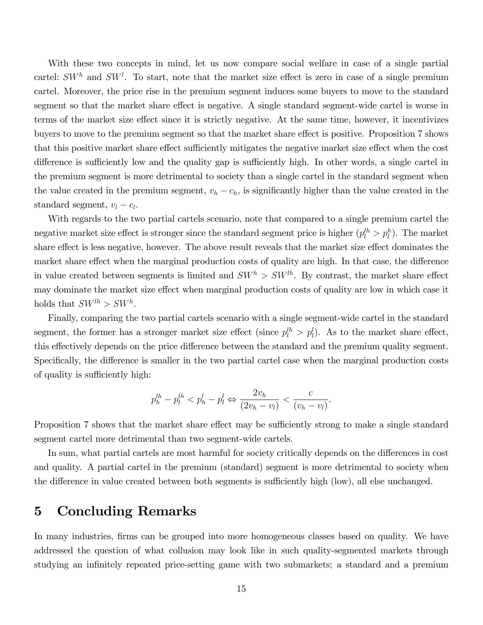With these two concepts in mind, let us now compare social welfare in case of a single partial cartel:  $SW<sup>h</sup>$  and  $SW<sup>l</sup>$ . To start, note that the market size effect is zero in case of a single premium cartel. Moreover, the price rise in the premium segment induces some buyers to move to the standard segment so that the market share effect is negative. A single standard segment-wide cartel is worse in terms of the market size effect since it is strictly negative. At the same time, however, it incentivizes buyers to move to the premium segment so that the market share effect is positive. Proposition 7 shows that this positive market share effect sufficiently mitigates the negative market size effect when the cost difference is sufficiently low and the quality gap is sufficiently high. In other words, a single cartel in the premium segment is more detrimental to society than a single cartel in the standard segment when the value created in the premium segment,  $v_h - c_h$ , is significantly higher than the value created in the standard segment,  $v_l - c_l$ .

With regards to the two partial cartels scenario, note that compared to a single premium cartel the negative market size effect is stronger since the standard segment price is higher  $(p_l^{th} > p_l^h)$ . The market share effect is less negative, however. The above result reveals that the market size effect dominates the market share effect when the marginal production costs of quality are high. In that case, the difference in value created between segments is limited and  $SW<sup>h</sup> > SW<sup>lh</sup>$ . By contrast, the market share effect may dominate the market size effect when marginal production costs of quality are low in which case it holds that  $SW^{lh} > SW^h$ .

Finally, comparing the two partial cartels scenario with a single segment-wide cartel in the standard segment, the former has a stronger market size effect (since  $p_l^{lh} > p_l^l$ ). As to the market share effect, this effectively depends on the price difference between the standard and the premium quality segment. Specifically, the difference is smaller in the two partial cartel case when the marginal production costs of quality is sufficiently high:

$$
p_h^{lh} - p_l^{lh} < p_h^l - p_l^l \Leftrightarrow \frac{2v_h}{(2v_h - v_l)} < \frac{c}{(v_h - v_l)}.
$$

Proposition 7 shows that the market share effect may be sufficiently strong to make a single standard segment cartel more detrimental than two segment-wide cartels.

In sum, what partial cartels are most harmful for society critically depends on the differences in cost and quality. A partial cartel in the premium (standard) segment is more detrimental to society when the difference in value created between both segments is sufficiently high (low), all else unchanged.

#### 5 Concluding Remarks

In many industries, firms can be grouped into more homogeneous classes based on quality. We have addressed the question of what collusion may look like in such quality-segmented markets through studying an infinitely repeated price-setting game with two submarkets; a standard and a premium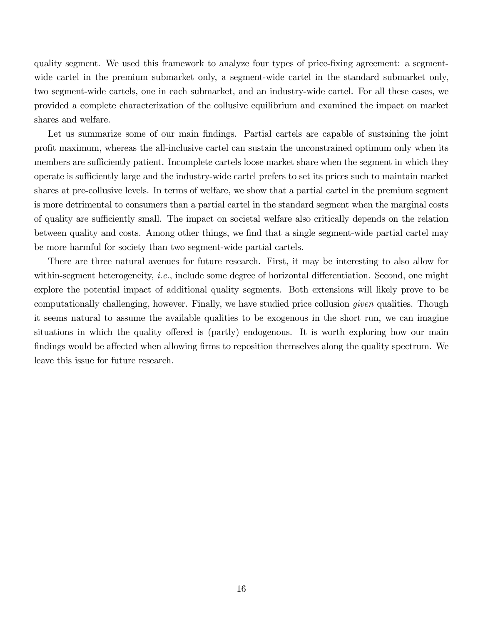quality segment. We used this framework to analyze four types of price-Öxing agreement: a segmentwide cartel in the premium submarket only, a segment-wide cartel in the standard submarket only, two segment-wide cartels, one in each submarket, and an industry-wide cartel. For all these cases, we provided a complete characterization of the collusive equilibrium and examined the impact on market shares and welfare.

Let us summarize some of our main findings. Partial cartels are capable of sustaining the joint proÖt maximum, whereas the all-inclusive cartel can sustain the unconstrained optimum only when its members are sufficiently patient. Incomplete cartels loose market share when the segment in which they operate is sufficiently large and the industry-wide cartel prefers to set its prices such to maintain market shares at pre-collusive levels. In terms of welfare, we show that a partial cartel in the premium segment is more detrimental to consumers than a partial cartel in the standard segment when the marginal costs of quality are sufficiently small. The impact on societal welfare also critically depends on the relation between quality and costs. Among other things, we find that a single segment-wide partial cartel may be more harmful for society than two segment-wide partial cartels.

There are three natural avenues for future research. First, it may be interesting to also allow for within-segment heterogeneity, *i.e.*, include some degree of horizontal differentiation. Second, one might explore the potential impact of additional quality segments. Both extensions will likely prove to be computationally challenging, however. Finally, we have studied price collusion given qualities. Though it seems natural to assume the available qualities to be exogenous in the short run, we can imagine situations in which the quality offered is (partly) endogenous. It is worth exploring how our main findings would be affected when allowing firms to reposition themselves along the quality spectrum. We leave this issue for future research.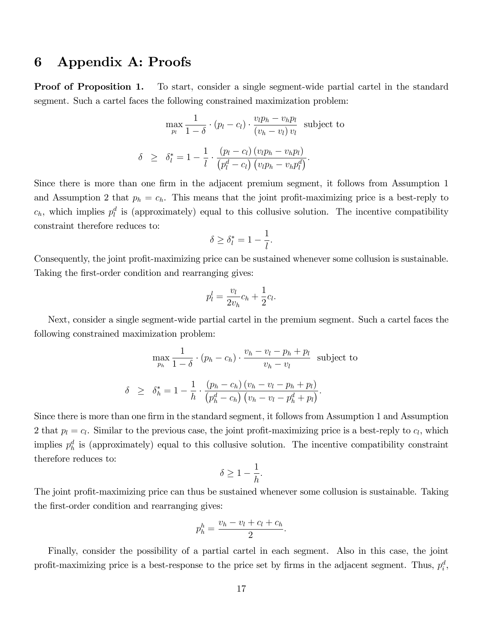## 6 Appendix A: Proofs

**Proof of Proposition 1.** To start, consider a single segment-wide partial cartel in the standard segment. Such a cartel faces the following constrained maximization problem:

$$
\max_{p_l} \frac{1}{1-\delta} \cdot (p_l - c_l) \cdot \frac{v_l p_h - v_h p_l}{(v_h - v_l) v_l} \text{ subject to}
$$

$$
\delta \ge \delta_l^* = 1 - \frac{1}{l} \cdot \frac{(p_l - c_l) (v_l p_h - v_h p_l)}{(p_l^d - c_l) (v_l p_h - v_h p_l^d)}.
$$

Since there is more than one firm in the adjacent premium segment, it follows from Assumption 1 and Assumption 2 that  $p_h = c_h$ . This means that the joint profit-maximizing price is a best-reply to  $c_h$ , which implies  $p_l^d$  is (approximately) equal to this collusive solution. The incentive compatibility constraint therefore reduces to:

$$
\delta \ge \delta_l^* = 1 - \frac{1}{l}.
$$

Consequently, the joint profit-maximizing price can be sustained whenever some collusion is sustainable. Taking the first-order condition and rearranging gives:

$$
p_l^l = \frac{v_l}{2v_h}c_h + \frac{1}{2}c_l.
$$

Next, consider a single segment-wide partial cartel in the premium segment. Such a cartel faces the following constrained maximization problem:

$$
\max_{p_h} \frac{1}{1-\delta} \cdot (p_h - c_h) \cdot \frac{v_h - v_l - p_h + p_l}{v_h - v_l} \text{ subject to}
$$

$$
\delta \ge \delta_h^* = 1 - \frac{1}{h} \cdot \frac{(p_h - c_h)(v_h - v_l - p_h + p_l)}{(p_h^d - c_h)(v_h - v_l - p_h^d + p_l)}.
$$

Since there is more than one firm in the standard segment, it follows from Assumption 1 and Assumption 2 that  $p_l = c_l$ . Similar to the previous case, the joint profit-maximizing price is a best-reply to  $c_l$ , which implies  $p_h^d$  is (approximately) equal to this collusive solution. The incentive compatibility constraint therefore reduces to:

$$
\delta \ge 1 - \frac{1}{h}.
$$

The joint profit-maximizing price can thus be sustained whenever some collusion is sustainable. Taking the first-order condition and rearranging gives:

$$
p_h^h = \frac{v_h - v_l + c_l + c_h}{2}.
$$

Finally, consider the possibility of a partial cartel in each segment. Also in this case, the joint profit-maximizing price is a best-response to the price set by firms in the adjacent segment. Thus,  $p_i^d$ ,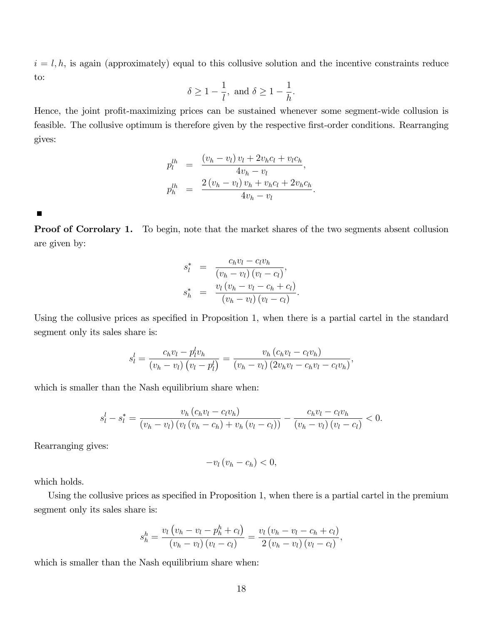$i = l, h$ , is again (approximately) equal to this collusive solution and the incentive constraints reduce to:

$$
\delta \ge 1 - \frac{1}{l}
$$
, and  $\delta \ge 1 - \frac{1}{h}$ .

Hence, the joint profit-maximizing prices can be sustained whenever some segment-wide collusion is feasible. The collusive optimum is therefore given by the respective first-order conditions. Rearranging gives:

$$
p_l^{lh} = \frac{(v_h - v_l) v_l + 2v_h c_l + v_l c_h}{4v_h - v_l},
$$
  

$$
p_h^{lh} = \frac{2(v_h - v_l) v_h + v_h c_l + 2v_h c_h}{4v_h - v_l}.
$$

г

**Proof of Corrolary 1.** To begin, note that the market shares of the two segments absent collusion are given by:

$$
s_l^* = \frac{c_h v_l - c_l v_h}{(v_h - v_l)(v_l - c_l)},
$$
  

$$
s_h^* = \frac{v_l (v_h - v_l - c_h + c_l)}{(v_h - v_l)(v_l - c_l)}.
$$

Using the collusive prices as specified in Proposition 1, when there is a partial cartel in the standard segment only its sales share is:

$$
s_l^l = \frac{c_h v_l - p_l^l v_h}{(v_h - v_l) (v_l - p_l^l)} = \frac{v_h (c_h v_l - c_l v_h)}{(v_h - v_l) (2v_h v_l - c_h v_l - c_l v_h)},
$$

which is smaller than the Nash equilibrium share when:

$$
s_l^l - s_l^* = \frac{v_h (c_h v_l - c_l v_h)}{(v_h - v_l) (v_l (v_h - c_h) + v_h (v_l - c_l))} - \frac{c_h v_l - c_l v_h}{(v_h - v_l) (v_l - c_l)} < 0.
$$

Rearranging gives:

$$
-v_l\left(v_h-c_h\right)<0,
$$

which holds.

Using the collusive prices as specified in Proposition 1, when there is a partial cartel in the premium segment only its sales share is:

$$
s_h^h = \frac{v_l (v_h - v_l - p_h^h + c_l)}{(v_h - v_l) (v_l - c_l)} = \frac{v_l (v_h - v_l - c_h + c_l)}{2 (v_h - v_l) (v_l - c_l)},
$$

which is smaller than the Nash equilibrium share when: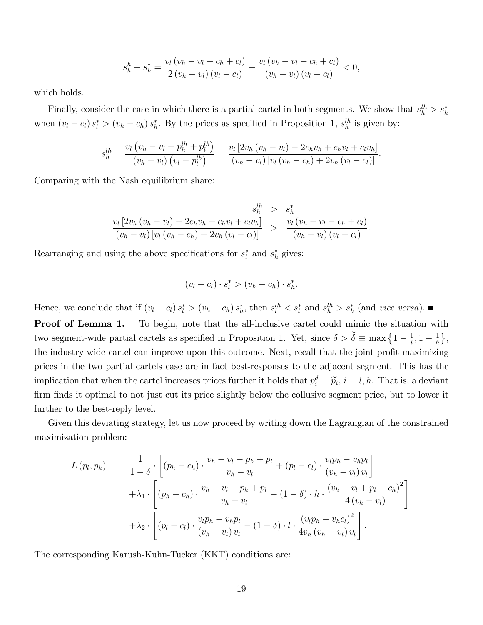$$
s_{h}^{h} - s_{h}^{*} = \frac{v_{l} (v_{h} - v_{l} - c_{h} + c_{l})}{2 (v_{h} - v_{l}) (v_{l} - c_{l})} - \frac{v_{l} (v_{h} - v_{l} - c_{h} + c_{l})}{(v_{h} - v_{l}) (v_{l} - c_{l})} < 0,
$$

which holds.

Finally, consider the case in which there is a partial cartel in both segments. We show that  $s_h^{lh} > s_h^*$ when  $(v_l - c_l) s_l^* > (v_h - c_h) s_h^*$  $\hat{h}$ . By the prices as specified in Proposition 1,  $s_h^{lh}$  is given by:

$$
s_{h}^{lh} = \frac{v_l (v_h - v_l - p_h^{lh} + p_l^{lh})}{(v_h - v_l) (v_l - p_l^{lh})} = \frac{v_l [2v_h (v_h - v_l) - 2c_h v_h + c_h v_l + c_l v_h]}{(v_h - v_l) [v_l (v_h - c_h) + 2v_h (v_l - c_l)]}.
$$

Comparing with the Nash equilibrium share:

$$
\frac{s_h^{lh}}{(v_h - v_l) [v_l (v_h - c_h) + 2v_h (v_l - c_l)]} > \frac{s_h^*}{(v_h - v_l) [v_l (v_h - c_h) + 2v_h (v_l - c_l)]} > \frac{v_l (v_h - v_l - c_h + c_l)}{(v_h - v_l) (v_l - c_l)}.
$$

Rearranging and using the above specifications for  $s_l^*$  $i \nmid a$  and  $s_h^*$  $h$  gives:

$$
(v_l - c_l) \cdot s_l^* > (v_h - c_h) \cdot s_h^*.
$$

Hence, we conclude that if  $(v_l - c_l) s_l^* > (v_h - c_h) s_h^*$  $\lambda_h^*$ , then  $s_l^{lh} < s_l^*$  and  $s_h^{lh} > s_h^*$  (and vice versa).

Proof of Lemma 1. To begin, note that the all-inclusive cartel could mimic the situation with two segment-wide partial cartels as specified in Proposition 1. Yet, since  $\delta > \tilde{\delta} \equiv \max\left\{1 - \frac{1}{l}\right\}$  $\frac{1}{l}, 1-\frac{1}{h}$  $\frac{1}{h}$ , the industry-wide cartel can improve upon this outcome. Next, recall that the joint profit-maximizing prices in the two partial cartels case are in fact best-responses to the adjacent segment. This has the implication that when the cartel increases prices further it holds that  $p_i^d = \tilde{p}_i$ ,  $i = l, h$ . That is, a deviant firm finds it optimal to not just cut its price slightly below the collusive segment price, but to lower it further to the best-reply level.

Given this deviating strategy, let us now proceed by writing down the Lagrangian of the constrained maximization problem:

$$
L (p_l, p_h) = \frac{1}{1 - \delta} \cdot \left[ (p_h - c_h) \cdot \frac{v_h - v_l - p_h + p_l}{v_h - v_l} + (p_l - c_l) \cdot \frac{v_l p_h - v_h p_l}{(v_h - v_l) v_l} \right] + \lambda_1 \cdot \left[ (p_h - c_h) \cdot \frac{v_h - v_l - p_h + p_l}{v_h - v_l} - (1 - \delta) \cdot h \cdot \frac{(v_h - v_l + p_l - c_h)^2}{4 (v_h - v_l)} \right] + \lambda_2 \cdot \left[ (p_l - c_l) \cdot \frac{v_l p_h - v_h p_l}{(v_h - v_l) v_l} - (1 - \delta) \cdot l \cdot \frac{(v_l p_h - v_h c_l)^2}{4 v_h (v_h - v_l) v_l} \right].
$$

The corresponding Karush-Kuhn-Tucker (KKT) conditions are: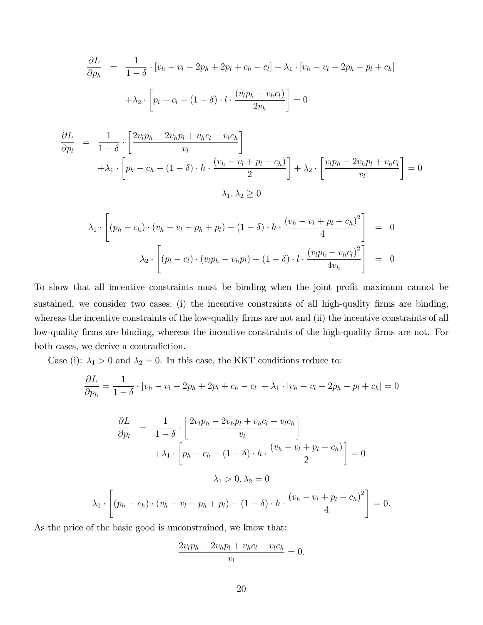$$
\frac{\partial L}{\partial p_h} = \frac{1}{1-\delta} \cdot [v_h - v_l - 2p_h + 2p_l + c_h - c_l] + \lambda_1 \cdot [v_h - v_l - 2p_h + p_l + c_h]
$$

$$
+ \lambda_2 \cdot \left[ p_l - c_l - (1-\delta) \cdot l \cdot \frac{(v_l p_h - v_h c_l)}{2v_h} \right] = 0
$$

$$
\frac{\partial L}{\partial p_l} = \frac{1}{1-\delta} \cdot \left[ \frac{2v_l p_h - 2v_h p_l + v_h c_l - v_l c_h}{v_l} \right] \n+ \lambda_1 \cdot \left[ p_h - c_h - (1-\delta) \cdot h \cdot \frac{(v_h - v_l + p_l - c_h)}{2} \right] + \lambda_2 \cdot \left[ \frac{v_l p_h - 2v_h p_l + v_h c_l}{v_l} \right] = 0 \n\lambda_1, \lambda_2 \ge 0
$$

$$
\lambda_1 \cdot \left[ (p_h - c_h) \cdot (v_h - v_l - p_h + p_l) - (1 - \delta) \cdot h \cdot \frac{(v_h - v_l + p_l - c_h)^2}{4} \right] = 0
$$
  

$$
\lambda_2 \cdot \left[ (p_l - c_l) \cdot (v_l p_h - v_h p_l) - (1 - \delta) \cdot l \cdot \frac{(v_l p_h - v_h c_l)^2}{4v_h} \right] = 0
$$

To show that all incentive constraints must be binding when the joint profit maximum cannot be sustained, we consider two cases: (i) the incentive constraints of all high-quality firms are binding, whereas the incentive constraints of the low-quality firms are not and (ii) the incentive constraints of all low-quality firms are binding, whereas the incentive constraints of the high-quality firms are not. For both cases, we derive a contradiction.

Case (i):  $\lambda_1 > 0$  and  $\lambda_2 = 0$ . In this case, the KKT conditions reduce to:

$$
\frac{\partial L}{\partial p_h} = \frac{1}{1 - \delta} \cdot [v_h - v_l - 2p_h + 2p_l + c_h - c_l] + \lambda_1 \cdot [v_h - v_l - 2p_h + p_l + c_h] = 0
$$

$$
\frac{\partial L}{\partial p_l} = \frac{1}{1-\delta} \cdot \left[ \frac{2v_l p_h - 2v_h p_l + v_h c_l - v_l c_h}{v_l} \right]
$$

$$
+ \lambda_1 \cdot \left[ p_h - c_h - (1-\delta) \cdot h \cdot \frac{(v_h - v_l + p_l - c_h)}{2} \right] = 0
$$

$$
\lambda_1 > 0, \lambda_2 = 0
$$

$$
\lambda_1 \cdot \left[ (p_h - c_h) \cdot (v_h - v_l - p_h + p_l) - (1-\delta) \cdot h \cdot \frac{(v_h - v_l + p_l - c_h)^2}{4} \right] = 0.
$$

As the price of the basic good is unconstrained, we know that:

$$
\frac{2v_lp_h - 2v_hp_l + v_hc_l - v_lc_h}{v_l} = 0.
$$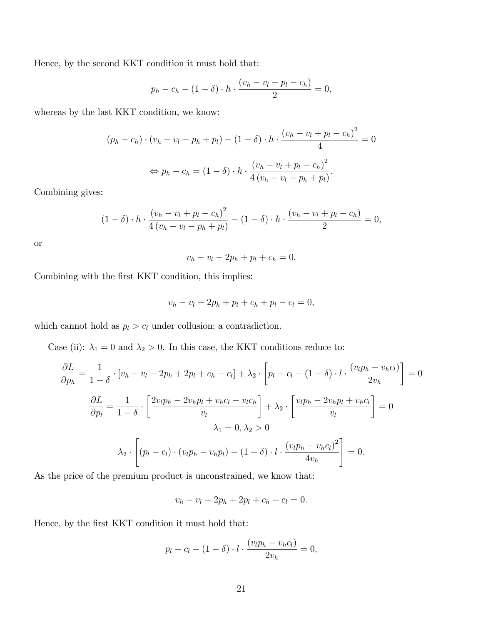Hence, by the second KKT condition it must hold that:

$$
p_h - c_h - (1 - \delta) \cdot h \cdot \frac{(v_h - v_l + p_l - c_h)}{2} = 0,
$$

whereas by the last KKT condition, we know:

$$
(p_h - c_h) \cdot (v_h - v_l - p_h + p_l) - (1 - \delta) \cdot h \cdot \frac{(v_h - v_l + p_l - c_h)^2}{4} = 0
$$
  

$$
\Leftrightarrow p_h - c_h = (1 - \delta) \cdot h \cdot \frac{(v_h - v_l + p_l - c_h)^2}{4(v_h - v_l - p_h + p_l)}.
$$

Combining gives:

$$
(1 - \delta) \cdot h \cdot \frac{(v_h - v_l + p_l - c_h)^2}{4(v_h - v_l - p_h + p_l)} - (1 - \delta) \cdot h \cdot \frac{(v_h - v_l + p_l - c_h)}{2} = 0,
$$

or

$$
v_h - v_l - 2p_h + p_l + c_h = 0.
$$

Combining with the first KKT condition, this implies:

$$
v_h - v_l - 2p_h + p_l + c_h + p_l - c_l = 0,
$$

which cannot hold as  $p_l > c_l$  under collusion; a contradiction.

Case (ii):  $\lambda_1 = 0$  and  $\lambda_2 > 0$ . In this case, the KKT conditions reduce to:

$$
\frac{\partial L}{\partial p_h} = \frac{1}{1-\delta} \cdot [v_h - v_l - 2p_h + 2p_l + c_h - c_l] + \lambda_2 \cdot \left[ p_l - c_l - (1-\delta) \cdot l \cdot \frac{(v_l p_h - v_h c_l)}{2v_h} \right] = 0
$$

$$
\frac{\partial L}{\partial p_l} = \frac{1}{1-\delta} \cdot \left[ \frac{2v_l p_h - 2v_h p_l + v_h c_l - v_l c_h}{v_l} \right] + \lambda_2 \cdot \left[ \frac{v_l p_h - 2v_h p_l + v_h c_l}{v_l} \right] = 0
$$

$$
\lambda_1 = 0, \lambda_2 > 0
$$

$$
\lambda_2 \cdot \left[ (p_l - c_l) \cdot (v_l p_h - v_h p_l) - (1-\delta) \cdot l \cdot \frac{(v_l p_h - v_h c_l)^2}{4v_h} \right] = 0.
$$

As the price of the premium product is unconstrained, we know that:

 $v_h - v_l - 2p_h + 2p_l + c_h - c_l = 0.$ 

Hence, by the first KKT condition it must hold that:

$$
p_l - c_l - (1 - \delta) \cdot l \cdot \frac{(v_l p_h - v_h c_l)}{2v_h} = 0,
$$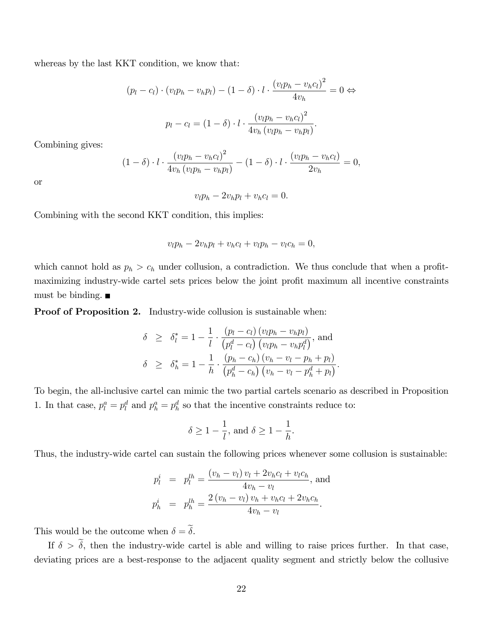whereas by the last KKT condition, we know that:

$$
(p_l - c_l) \cdot (v_l p_h - v_h p_l) - (1 - \delta) \cdot l \cdot \frac{(v_l p_h - v_h c_l)^2}{4v_h} = 0 \Leftrightarrow
$$

$$
p_l - c_l = (1 - \delta) \cdot l \cdot \frac{(v_l p_h - v_h c_l)^2}{4v_h (v_l p_h - v_h p_l)}.
$$

Combining gives:

$$
(1 - \delta) \cdot l \cdot \frac{(v_l p_h - v_h c_l)^2}{4v_h (v_l p_h - v_h p_l)} - (1 - \delta) \cdot l \cdot \frac{(v_l p_h - v_h c_l)}{2v_h} = 0,
$$

or

$$
v_l p_h - 2v_h p_l + v_h c_l = 0.
$$

Combining with the second KKT condition, this implies:

$$
v_l p_h - 2v_h p_l + v_h c_l + v_l p_h - v_l c_h = 0,
$$

which cannot hold as  $p_h > c_h$  under collusion, a contradiction. We thus conclude that when a profitmaximizing industry-wide cartel sets prices below the joint profit maximum all incentive constraints must be binding.  $\blacksquare$ 

Proof of Proposition 2. Industry-wide collusion is sustainable when:

$$
\delta \geq \delta_l^* = 1 - \frac{1}{l} \cdot \frac{(p_l - c_l) (v_l p_h - v_h p_l)}{(p_l^d - c_l) (v_l p_h - v_h p_l^d)}, \text{ and}
$$
  

$$
\delta \geq \delta_h^* = 1 - \frac{1}{h} \cdot \frac{(p_h - c_h) (v_h - v_l - p_h + p_l)}{(p_h^d - c_h) (v_h - v_l - p_h^d + p_l)}.
$$

To begin, the all-inclusive cartel can mimic the two partial cartels scenario as described in Proposition 1. In that case,  $p_l^a = p_l^d$  and  $p_h^a = p_h^d$  so that the incentive constraints reduce to:

$$
\delta \ge 1 - \frac{1}{l}
$$
, and  $\delta \ge 1 - \frac{1}{h}$ .

Thus, the industry-wide cartel can sustain the following prices whenever some collusion is sustainable:

$$
p_l^i = p_l^{lh} = \frac{(v_h - v_l) v_l + 2v_h c_l + v_l c_h}{4v_h - v_l}, \text{ and}
$$
  

$$
p_h^i = p_h^{lh} = \frac{2(v_h - v_l) v_h + v_h c_l + 2v_h c_h}{4v_h - v_l}.
$$

This would be the outcome when  $\delta = \tilde{\delta}$ .

If  $\delta > \tilde{\delta}$ , then the industry-wide cartel is able and willing to raise prices further. In that case, deviating prices are a best-response to the adjacent quality segment and strictly below the collusive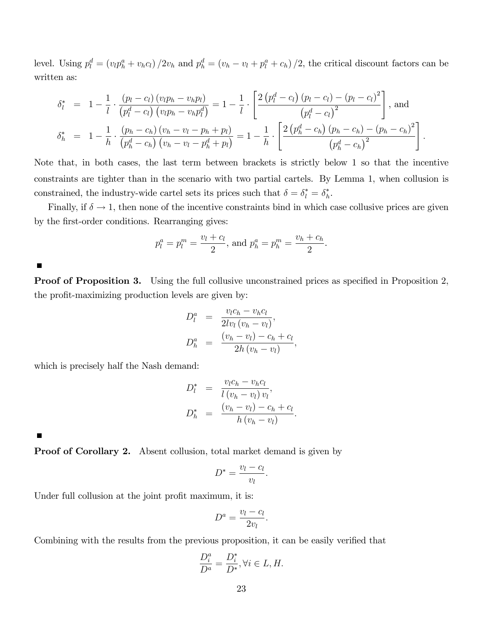level. Using  $p_l^d = (v_l p_h^a + v_h c_l) / 2v_h$  and  $p_h^d = (v_h - v_l + p_l^a + c_h) / 2$ , the critical discount factors can be written as:

$$
\delta_l^* = 1 - \frac{1}{l} \cdot \frac{(p_l - c_l) (v_l p_h - v_h p_l)}{(p_l^d - c_l) (v_l p_h - v_h p_l^d)} = 1 - \frac{1}{l} \cdot \left[ \frac{2 (p_l^d - c_l) (p_l - c_l) - (p_l - c_l)^2}{(p_l^d - c_l)^2} \right], \text{ and}
$$

$$
\delta_h^* = 1 - \frac{1}{h} \cdot \frac{(p_h - c_h) (v_h - v_l - p_h + p_l)}{(p_h^d - c_h) (v_h - v_l - p_h^d + p_l)} = 1 - \frac{1}{h} \cdot \left[ \frac{2 (p_h^d - c_h) (p_h - c_h) - (p_h - c_h)^2}{(p_h^d - c_h)^2} \right].
$$

Note that, in both cases, the last term between brackets is strictly below 1 so that the incentive constraints are tighter than in the scenario with two partial cartels. By Lemma 1, when collusion is constrained, the industry-wide cartel sets its prices such that  $\delta = \delta_l^* = \delta_h^*$  $\frac{*}{h}$ .

Finally, if  $\delta \to 1$ , then none of the incentive constraints bind in which case collusive prices are given by the first-order conditions. Rearranging gives:

$$
p_l^a = p_l^m = \frac{v_l + c_l}{2}
$$
, and  $p_h^a = p_h^m = \frac{v_h + c_h}{2}$ .

 $\Box$ 

**Proof of Proposition 3.** Using the full collusive unconstrained prices as specified in Proposition 2, the profit-maximizing production levels are given by:

$$
D_l^a = \frac{v_l c_h - v_h c_l}{2l v_l (v_h - v_l)},
$$
  
\n
$$
D_h^a = \frac{(v_h - v_l) - c_h + c_l}{2h (v_h - v_l)},
$$

which is precisely half the Nash demand:

$$
D_l^* = \frac{v_l c_h - v_h c_l}{l(v_h - v_l)v_l},
$$
  

$$
D_h^* = \frac{(v_h - v_l) - c_h + c_l}{h(v_h - v_l)}
$$

:

 $\blacksquare$ 

**Proof of Corollary 2.** Absent collusion, total market demand is given by

$$
D^* = \frac{v_l - c_l}{v_l}.
$$

Under full collusion at the joint profit maximum, it is:

$$
D^a = \frac{v_l - c_l}{2v_l}.
$$

Combining with the results from the previous proposition, it can be easily verified that

$$
\frac{D_i^a}{D^a} = \frac{D_i^*}{D^*}, \forall i \in L, H.
$$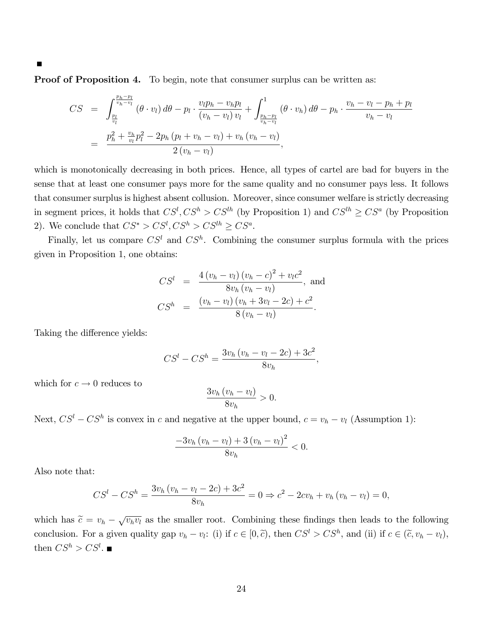Proof of Proposition 4. To begin, note that consumer surplus can be written as:

$$
CS = \int_{\frac{p_l}{v_l}}^{\frac{p_h - p_l}{v_h - v_l}} (\theta \cdot v_l) d\theta - p_l \cdot \frac{v_l p_h - v_h p_l}{(v_h - v_l) v_l} + \int_{\frac{p_h - p_l}{v_h - v_l}}^1 (\theta \cdot v_h) d\theta - p_h \cdot \frac{v_h - v_l - p_h + p_l}{v_h - v_l} = \frac{p_h^2 + \frac{v_h}{v_l} p_l^2 - 2p_h (p_l + v_h - v_l) + v_h (v_h - v_l)}{2 (v_h - v_l)},
$$

which is monotonically decreasing in both prices. Hence, all types of cartel are bad for buyers in the sense that at least one consumer pays more for the same quality and no consumer pays less. It follows that consumer surplus is highest absent collusion. Moreover, since consumer welfare is strictly decreasing in segment prices, it holds that  $CS^l$ ,  $CS^h > CS^{lh}$  (by Proposition 1) and  $CS^{lh} \geq CS^a$  (by Proposition 2). We conclude that  $CS^* > CS^l, CS^h > CS^{lh} \geq CS^a$ .

Finally, let us compare  $CS^l$  and  $CS^h$ . Combining the consumer surplus formula with the prices given in Proposition 1, one obtains:

$$
CS^{l} = \frac{4(v_{h} - v_{l})(v_{h} - c)^{2} + v_{l}c^{2}}{8v_{h}(v_{h} - v_{l})}, \text{ and}
$$
  

$$
CS^{h} = \frac{(v_{h} - v_{l})(v_{h} + 3v_{l} - 2c) + c^{2}}{8(v_{h} - v_{l})}.
$$

Taking the difference yields:

$$
CS^{l} - CS^{h} = \frac{3v_{h}(v_{h} - v_{l} - 2c) + 3c^{2}}{8v_{h}},
$$

which for  $c \to 0$  reduces to

$$
\frac{3v_h(v_h - v_l)}{8v_h} > 0.
$$

Next,  $CS^l - CS^h$  is convex in c and negative at the upper bound,  $c = v_h - v_l$  (Assumption 1):

$$
\frac{-3v_h\left(v_h - v_l\right) + 3\left(v_h - v_l\right)^2}{8v_h} < 0.
$$

Also note that:

$$
CS^{l} - CS^{h} = \frac{3v_{h}(v_{h} - v_{l} - 2c) + 3c^{2}}{8v_{h}} = 0 \Rightarrow c^{2} - 2cv_{h} + v_{h}(v_{h} - v_{l}) = 0,
$$

which has  $\tilde{c} = v_h - \sqrt{v_h v_l}$  as the smaller root. Combining these findings then leads to the following conclusion. For a given quality gap  $v_h - v_l$ : (i) if  $c \in [0, \tilde{c})$ , then  $CS^l > CS^h$ , and (ii) if  $c \in (\tilde{c}, v_h - v_l)$ , then  $CS^h > CS^l$ .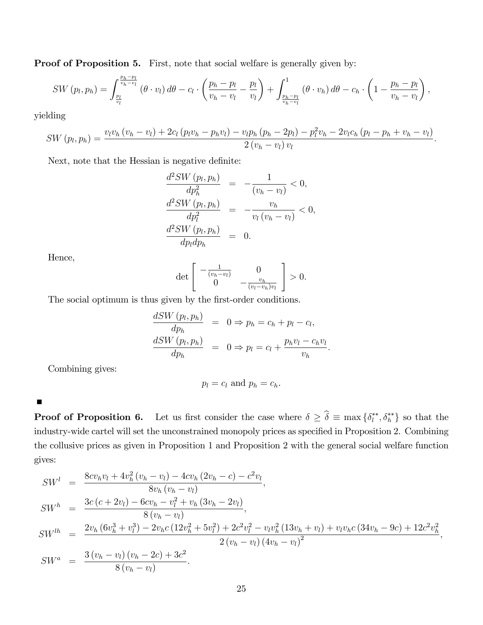Proof of Proposition 5. First, note that social welfare is generally given by:

$$
SW(p_l, p_h) = \int_{\frac{p_l}{v_h - v_l}}^{\frac{p_h - p_l}{v_h - v_l}} (\theta \cdot v_l) d\theta - c_l \cdot \left(\frac{p_h - p_l}{v_h - v_l} - \frac{p_l}{v_l}\right) + \int_{\frac{p_h - p_l}{v_h - v_l}}^1 (\theta \cdot v_h) d\theta - c_h \cdot \left(1 - \frac{p_h - p_l}{v_h - v_l}\right),
$$

yielding

$$
SW(p_l, p_h) = \frac{v_l v_h (v_h - v_l) + 2c_l (p_l v_h - p_h v_l) - v_l p_h (p_h - 2p_l) - p_l^2 v_h - 2v_l c_h (p_l - p_h + v_h - v_l)}{2 (v_h - v_l) v_l}.
$$

Next, note that the Hessian is negative definite:

$$
\frac{d^2SW(p_l, p_h)}{dp_h^2} = -\frac{1}{(v_h - v_l)} < 0,
$$
  

$$
\frac{d^2SW(p_l, p_h)}{dp_l^2} = -\frac{v_h}{v_l(v_h - v_l)} < 0,
$$
  

$$
\frac{d^2SW(p_l, p_h)}{dp_ldp_h} = 0.
$$

Hence,

$$
\det\begin{bmatrix} -\frac{1}{(v_h - v_l)} & 0\\ 0 & -\frac{v_h}{(v_l - v_h)v_l} \end{bmatrix} > 0.
$$

The social optimum is thus given by the first-order conditions.

$$
\frac{dSW(p_l, p_h)}{dp_h} = 0 \Rightarrow p_h = c_h + p_l - c_l,
$$
  

$$
\frac{dSW(p_l, p_h)}{dp_h} = 0 \Rightarrow p_l = c_l + \frac{p_h v_l - c_h v_l}{v_h}.
$$

Combining gives:

$$
p_l = c_l \text{ and } p_h = c_h.
$$

 $\blacksquare$ 

**Proof of Proposition 6.** Let us first consider the case where  $\delta \geq \hat{\delta} \equiv \max \{\delta_l^{**} \}$  $\{e_i^{**}, \delta_h^{**}\}$  so that the industry-wide cartel will set the unconstrained monopoly prices as specified in Proposition 2. Combining the collusive prices as given in Proposition 1 and Proposition 2 with the general social welfare function gives:

$$
SW^{l} = \frac{8cv_{h}v_{l} + 4v_{h}^{2}(v_{h} - v_{l}) - 4cv_{h}(2v_{h} - c) - c^{2}v_{l}}{8v_{h}(v_{h} - v_{l})},
$$
  
\n
$$
SW^{h} = \frac{3c(c + 2v_{l}) - 6cv_{h} - v_{l}^{2} + v_{h}(3v_{h} - 2v_{l})}{8(v_{h} - v_{l})},
$$
  
\n
$$
SW^{lh} = \frac{2v_{h}(6v_{h}^{3} + v_{l}^{3}) - 2v_{h}c(12v_{h}^{2} + 5v_{l}^{2}) + 2c^{2}v_{l}^{2} - v_{l}v_{h}^{2}(13v_{h} + v_{l}) + v_{l}v_{h}c(34v_{h} - 9c) + 12c^{2}v_{h}^{2}}{2(v_{h} - v_{l})(4v_{h} - v_{l})^{2}},
$$
  
\n
$$
SW^{a} = \frac{3(v_{h} - v_{l})(v_{h} - 2c) + 3c^{2}}{8(v_{h} - v_{l})}.
$$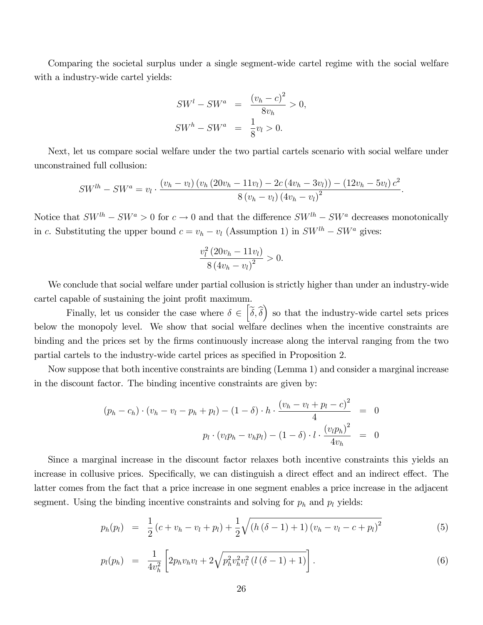Comparing the societal surplus under a single segment-wide cartel regime with the social welfare with a industry-wide cartel yields:

$$
SWl - SWa = \frac{(v_h - c)^2}{8v_h} > 0,
$$
  
\n
$$
SWh - SWa = \frac{1}{8}v_l > 0.
$$

Next, let us compare social welfare under the two partial cartels scenario with social welfare under unconstrained full collusion:

$$
SW^{lh} - SW^a = v_l \cdot \frac{(v_h - v_l) (v_h (20v_h - 11v_l) - 2c (4v_h - 3v_l)) - (12v_h - 5v_l) c^2}{8 (v_h - v_l) (4v_h - v_l)^2}.
$$

Notice that  $SW^{lh} - SW^a > 0$  for  $c \to 0$  and that the difference  $SW^{lh} - SW^a$  decreases monotonically in c. Substituting the upper bound  $c = v_h - v_l$  (Assumption 1) in  $SW^{lh} - SW^a$  gives:

$$
\frac{v_l^2 (20v_h - 11v_l)}{8 (4v_h - v_l)^2} > 0.
$$

We conclude that social welfare under partial collusion is strictly higher than under an industry-wide cartel capable of sustaining the joint profit maximum.

Finally, let us consider the case where  $\delta \in \left[\tilde{\delta}, \hat{\delta}\right]$  so that the industry-wide cartel sets prices below the monopoly level. We show that social welfare declines when the incentive constraints are binding and the prices set by the Örms continuously increase along the interval ranging from the two partial cartels to the industry-wide cartel prices as specified in Proposition 2.

Now suppose that both incentive constraints are binding (Lemma 1) and consider a marginal increase in the discount factor. The binding incentive constraints are given by:

$$
(p_h - c_h) \cdot (v_h - v_l - p_h + p_l) - (1 - \delta) \cdot h \cdot \frac{(v_h - v_l + p_l - c)^2}{4} = 0
$$
  

$$
p_l \cdot (v_l p_h - v_h p_l) - (1 - \delta) \cdot l \cdot \frac{(v_l p_h)^2}{4v_h} = 0
$$

Since a marginal increase in the discount factor relaxes both incentive constraints this yields an increase in collusive prices. Specifically, we can distinguish a direct effect and an indirect effect. The latter comes from the fact that a price increase in one segment enables a price increase in the adjacent segment. Using the binding incentive constraints and solving for  $p_h$  and  $p_l$  yields:

$$
p_h(p_l) = \frac{1}{2} (c + v_h - v_l + p_l) + \frac{1}{2} \sqrt{(h (\delta - 1) + 1) (v_h - v_l - c + p_l)^2}
$$
(5)

$$
p_l(p_h) = \frac{1}{4v_h^2} \left[ 2p_h v_h v_l + 2\sqrt{p_h^2 v_h^2 v_l^2 \left( l \left( \delta - 1 \right) + 1 \right)} \right]. \tag{6}
$$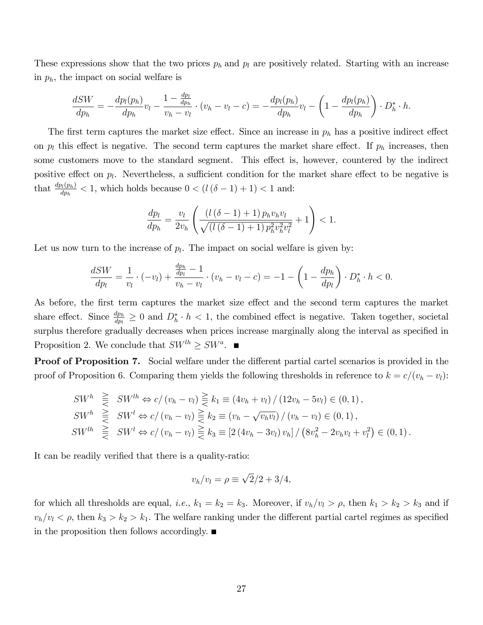These expressions show that the two prices  $p_h$  and  $p_l$  are positively related. Starting with an increase in  $p_h$ , the impact on social welfare is

$$
\frac{dSW}{dp_h} = -\frac{dp_l(p_h)}{dp_h}v_l - \frac{1 - \frac{dp_l}{dp_h}}{v_h - v_l} \cdot (v_h - v_l - c) = -\frac{dp_l(p_h)}{dp_h}v_l - \left(1 - \frac{dp_l(p_h)}{dp_h}\right) \cdot D_h^* \cdot h.
$$

The first term captures the market size effect. Since an increase in  $p_h$  has a positive indirect effect on  $p_l$  this effect is negative. The second term captures the market share effect. If  $p_h$  increases, then some customers move to the standard segment. This effect is, however, countered by the indirect positive effect on  $p_l$ . Nevertheless, a sufficient condition for the market share effect to be negative is that  $\frac{dp_l(p_h)}{dp_h} < 1$ , which holds because  $0 < (l(\delta - 1) + 1) < 1$  and:

$$
\frac{dp_l}{dp_h} = \frac{v_l}{2v_h} \left( \frac{\left(l\left(\delta - 1\right) + 1\right) p_h v_h v_l}{\sqrt{\left(l\left(\delta - 1\right) + 1\right) p_h^2 v_h^2 v_l^2} } + 1 \right) < 1.
$$

Let us now turn to the increase of  $p_l$ . The impact on social welfare is given by:

$$
\frac{dSW}{dp_l} = \frac{1}{v_l} \cdot (-v_l) + \frac{\frac{dp_h}{dp_l} - 1}{v_h - v_l} \cdot (v_h - v_l - c) = -1 - \left(1 - \frac{dp_h}{dp_l}\right) \cdot D_h^* \cdot h < 0.
$$

As before, the first term captures the market size effect and the second term captures the market share effect. Since  $\frac{dp_h}{dp_l} \geq 0$  and  $D_h^* \cdot h < 1$ , the combined effect is negative. Taken together, societal surplus therefore gradually decreases when prices increase marginally along the interval as specified in Proposition 2. We conclude that  $SW^{lh} \geq SW^a$ .

**Proof of Proposition 7.** Social welfare under the different partial cartel scenarios is provided in the proof of Proposition 6. Comparing them yields the following thresholds in reference to  $k = c/(v_h - v_l)$ :

$$
SW^h \geq SW^{lh} \Leftrightarrow c/(v_h - v_l) \geq k_1 \equiv (4v_h + v_l) / (12v_h - 5v_l) \in (0, 1),
$$
  
\n
$$
SW^h \geq SW^l \Leftrightarrow c/(v_h - v_l) \geq k_2 \equiv (v_h - \sqrt{v_h v_l}) / (v_h - v_l) \in (0, 1),
$$
  
\n
$$
SW^{lh} \geq SW^l \Leftrightarrow c/(v_h - v_l) \geq k_3 \equiv [2 (4v_h - 3v_l) v_h] / (8v_h^2 - 2v_h v_l + v_l^2) \in (0, 1).
$$

It can be readily verified that there is a quality-ratio:

$$
v_h/v_l = \rho \equiv \sqrt{2}/2 + 3/4,
$$

for which all thresholds are equal, *i.e.*,  $k_1 = k_2 = k_3$ . Moreover, if  $v_h/v_l > \rho$ , then  $k_1 > k_2 > k_3$  and if  $v_h/v_l < \rho$ , then  $k_3 > k_2 > k_1$ . The welfare ranking under the different partial cartel regimes as specified in the proposition then follows accordingly.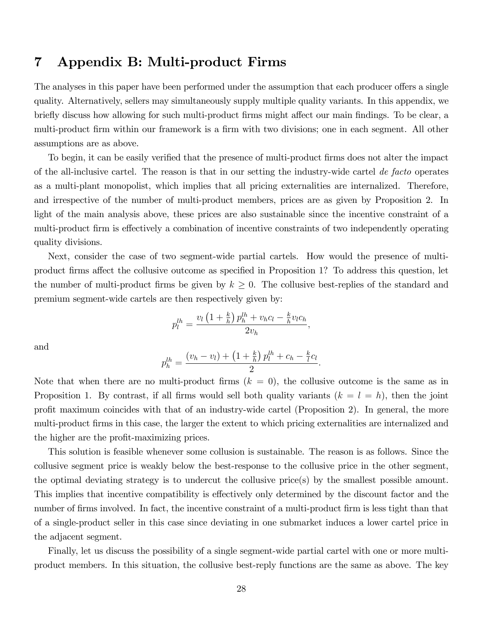### 7 Appendix B: Multi-product Firms

The analyses in this paper have been performed under the assumption that each producer offers a single quality. Alternatively, sellers may simultaneously supply multiple quality variants. In this appendix, we briefly discuss how allowing for such multi-product firms might affect our main findings. To be clear, a multi-product firm within our framework is a firm with two divisions; one in each segment. All other assumptions are as above.

To begin, it can be easily verified that the presence of multi-product firms does not alter the impact of the all-inclusive cartel. The reason is that in our setting the industry-wide cartel de facto operates as a multi-plant monopolist, which implies that all pricing externalities are internalized. Therefore, and irrespective of the number of multi-product members, prices are as given by Proposition 2. In light of the main analysis above, these prices are also sustainable since the incentive constraint of a multi-product firm is effectively a combination of incentive constraints of two independently operating quality divisions.

Next, consider the case of two segment-wide partial cartels. How would the presence of multiproduct firms affect the collusive outcome as specified in Proposition 1? To address this question, let the number of multi-product firms be given by  $k \geq 0$ . The collusive best-replies of the standard and premium segment-wide cartels are then respectively given by:

$$
p_l^{lh} = \frac{v_l \left(1 + \frac{k}{h}\right) p_h^{lh} + v_h c_l - \frac{k}{h} v_l c_h}{2v_h},
$$

and

$$
p_h^{lh} = \frac{(v_h - v_l) + \left(1 + \frac{k}{h}\right)p_l^{lh} + c_h - \frac{k}{l}c_l}{2}.
$$

Note that when there are no multi-product firms  $(k = 0)$ , the collusive outcome is the same as in Proposition 1. By contrast, if all firms would sell both quality variants  $(k = l = h)$ , then the joint profit maximum coincides with that of an industry-wide cartel (Proposition 2). In general, the more multi-product firms in this case, the larger the extent to which pricing externalities are internalized and the higher are the profit-maximizing prices.

This solution is feasible whenever some collusion is sustainable. The reason is as follows. Since the collusive segment price is weakly below the best-response to the collusive price in the other segment, the optimal deviating strategy is to undercut the collusive price(s) by the smallest possible amount. This implies that incentive compatibility is effectively only determined by the discount factor and the number of firms involved. In fact, the incentive constraint of a multi-product firm is less tight than that of a single-product seller in this case since deviating in one submarket induces a lower cartel price in the adjacent segment.

Finally, let us discuss the possibility of a single segment-wide partial cartel with one or more multiproduct members. In this situation, the collusive best-reply functions are the same as above. The key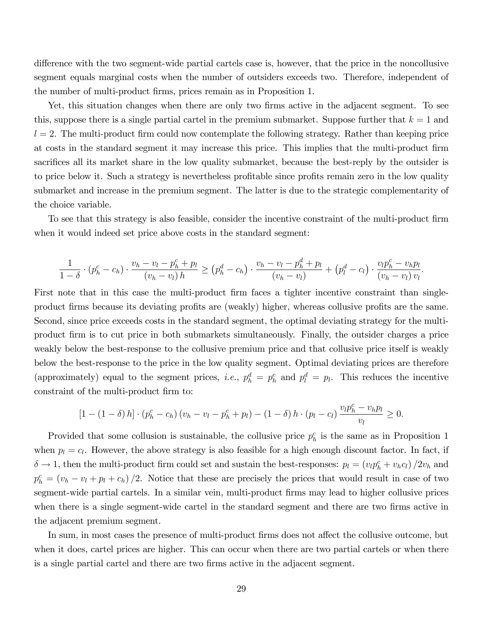difference with the two segment-wide partial cartels case is, however, that the price in the noncollusive segment equals marginal costs when the number of outsiders exceeds two. Therefore, independent of the number of multi-product firms, prices remain as in Proposition 1.

Yet, this situation changes when there are only two firms active in the adjacent segment. To see this, suppose there is a single partial cartel in the premium submarket. Suppose further that  $k = 1$  and  $l = 2$ . The multi-product firm could now contemplate the following strategy. Rather than keeping price at costs in the standard segment it may increase this price. This implies that the multi-product firm sacrifices all its market share in the low quality submarket, because the best-reply by the outsider is to price below it. Such a strategy is nevertheless profitable since profits remain zero in the low quality submarket and increase in the premium segment. The latter is due to the strategic complementarity of the choice variable.

To see that this strategy is also feasible, consider the incentive constraint of the multi-product Örm when it would indeed set price above costs in the standard segment:

$$
\frac{1}{1-\delta} \cdot (p_h^c - c_h) \cdot \frac{v_h - v_l - p_h^c + p_l}{(v_h - v_l) h} \ge (p_h^d - c_h) \cdot \frac{v_h - v_l - p_h^d + p_l}{(v_h - v_l)} + (p_l^d - c_l) \cdot \frac{v_l p_h^c - v_h p_l}{(v_h - v_l) v_l}.
$$

First note that in this case the multi-product firm faces a tighter incentive constraint than singleproduct firms because its deviating profits are (weakly) higher, whereas collusive profits are the same. Second, since price exceeds costs in the standard segment, the optimal deviating strategy for the multiproduct Örm is to cut price in both submarkets simultaneously. Finally, the outsider charges a price weakly below the best-response to the collusive premium price and that collusive price itself is weakly below the best-response to the price in the low quality segment. Optimal deviating prices are therefore (approximately) equal to the segment prices, *i.e.*,  $p_h^d = p_h^c$  and  $p_l^d = p_l$ . This reduces the incentive constraint of the multi-product firm to:

$$
[1 - (1 - \delta) h] \cdot (p_h^c - c_h) (v_h - v_l - p_h^c + p_l) - (1 - \delta) h \cdot (p_l - c_l) \frac{v_l p_h^c - v_h p_l}{v_l} \ge 0.
$$

Provided that some collusion is sustainable, the collusive price  $p<sub>h</sub><sup>c</sup>$  is the same as in Proposition 1 when  $p_l = c_l$ . However, the above strategy is also feasible for a high enough discount factor. In fact, if  $\delta \to 1$ , then the multi-product firm could set and sustain the best-responses:  $p_l = (v_l p_h^c + v_h c_l)/2v_h$  and  $p_h^c = (v_h - v_l + p_l + c_h)/2$ . Notice that these are precisely the prices that would result in case of two segment-wide partial cartels. In a similar vein, multi-product firms may lead to higher collusive prices when there is a single segment-wide cartel in the standard segment and there are two firms active in the adjacent premium segment.

In sum, in most cases the presence of multi-product firms does not affect the collusive outcome, but when it does, cartel prices are higher. This can occur when there are two partial cartels or when there is a single partial cartel and there are two firms active in the adjacent segment.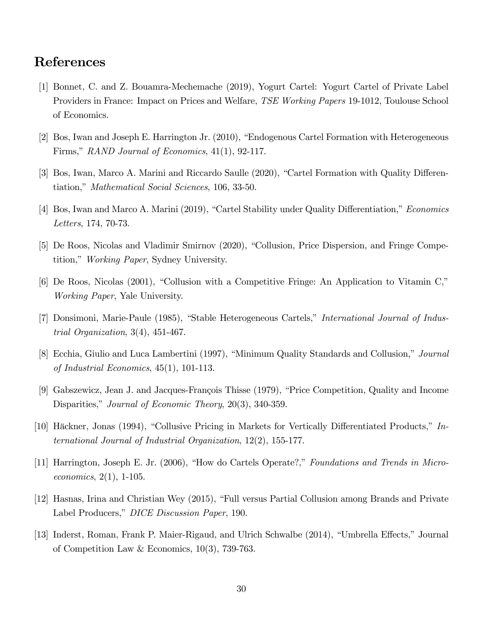## References

- [1] Bonnet, C. and Z. Bouamra-Mechemache (2019), Yogurt Cartel: Yogurt Cartel of Private Label Providers in France: Impact on Prices and Welfare, TSE Working Papers 19-1012, Toulouse School of Economics.
- [2] Bos, Iwan and Joseph E. Harrington Jr. (2010), "Endogenous Cartel Formation with Heterogeneous Firms," RAND Journal of Economics,  $41(1)$ , 92-117.
- [3] Bos, Iwan, Marco A. Marini and Riccardo Saulle (2020), "Cartel Formation with Quality Differentiation," *Mathematical Social Sciences*, 106, 33-50.
- [4] Bos, Iwan and Marco A. Marini (2019), "Cartel Stability under Quality Differentiation," Economics Letters, 174, 70-73.
- [5] De Roos, Nicolas and Vladimir Smirnov (2020), "Collusion, Price Dispersion, and Fringe Competition," Working Paper, Sydney University.
- $[6]$  De Roos, Nicolas (2001), "Collusion with a Competitive Fringe: An Application to Vitamin C," Working Paper, Yale University.
- [7] Donsimoni, Marie-Paule (1985), "Stable Heterogeneous Cartels," *International Journal of Indus*trial Organization, 3(4), 451-467.
- [8] Ecchia, Giulio and Luca Lambertini (1997), "Minimum Quality Standards and Collusion," Journal of Industrial Economics, 45(1), 101-113.
- [9] Gabszewicz, Jean J. and Jacques-François Thisse (1979), "Price Competition, Quality and Income Disparities," Journal of Economic Theory,  $20(3)$ , 340-359.
- [10] Häckner, Jonas (1994), "Collusive Pricing in Markets for Vertically Differentiated Products,"  $In$ ternational Journal of Industrial Organization, 12(2), 155-177.
- [11] Harrington, Joseph E. Jr. (2006), "How do Cartels Operate?," Foundations and Trends in Microeconomics, 2(1), 1-105.
- [12] Hasnas, Irina and Christian Wey (2015), "Full versus Partial Collusion among Brands and Private Label Producers," DICE Discussion Paper, 190.
- [13] Inderst, Roman, Frank P. Maier-Rigaud, and Ulrich Schwalbe (2014), "Umbrella Effects," Journal of Competition Law & Economics, 10(3), 739-763.